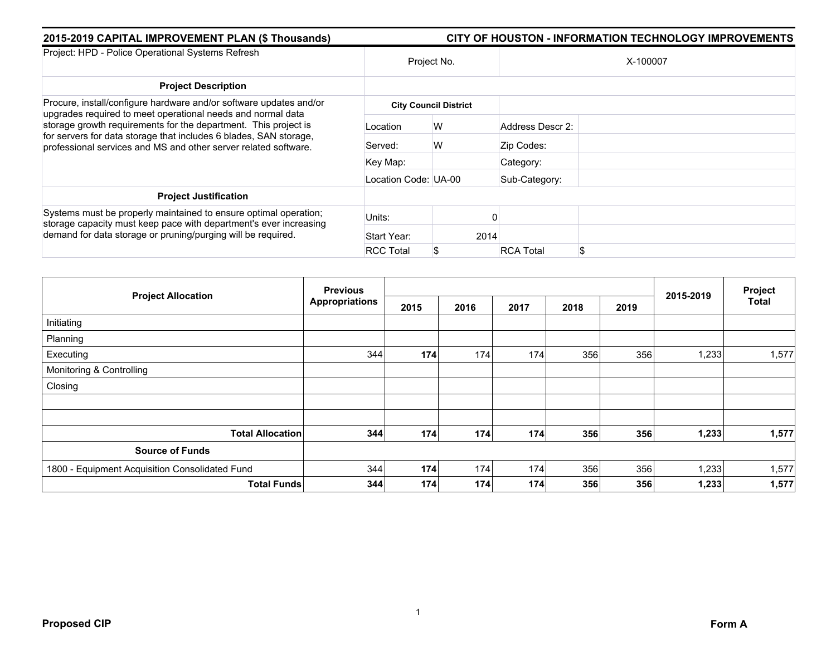| 2015-2019 CAPITAL IMPROVEMENT PLAN (\$ Thousands)                                                                                                                                                                                                                                                                                            |                      | <b>CITY OF HOUSTON - INFORMATION TECHNOLOGY IMPROVEMENTS</b> |                  |          |
|----------------------------------------------------------------------------------------------------------------------------------------------------------------------------------------------------------------------------------------------------------------------------------------------------------------------------------------------|----------------------|--------------------------------------------------------------|------------------|----------|
| Project: HPD - Police Operational Systems Refresh                                                                                                                                                                                                                                                                                            |                      | Project No.                                                  |                  | X-100007 |
| <b>Project Description</b>                                                                                                                                                                                                                                                                                                                   |                      |                                                              |                  |          |
| Procure, install/configure hardware and/or software updates and/or<br>upgrades required to meet operational needs and normal data<br>storage growth requirements for the department. This project is<br>for servers for data storage that includes 6 blades, SAN storage,<br>professional services and MS and other server related software. |                      | <b>City Council District</b>                                 |                  |          |
|                                                                                                                                                                                                                                                                                                                                              | Location             | W                                                            | Address Descr 2: |          |
|                                                                                                                                                                                                                                                                                                                                              | Served:              | W                                                            | Zip Codes:       |          |
|                                                                                                                                                                                                                                                                                                                                              | Key Map:             |                                                              | Category:        |          |
|                                                                                                                                                                                                                                                                                                                                              | Location Code: UA-00 |                                                              | Sub-Category:    |          |
| <b>Project Justification</b>                                                                                                                                                                                                                                                                                                                 |                      |                                                              |                  |          |
| Systems must be properly maintained to ensure optimal operation;<br>storage capacity must keep pace with department's ever increasing<br>demand for data storage or pruning/purging will be required.                                                                                                                                        | Units:               |                                                              |                  |          |
|                                                                                                                                                                                                                                                                                                                                              | Start Year:          | 2014                                                         |                  |          |
|                                                                                                                                                                                                                                                                                                                                              | <b>RCC Total</b>     | \$                                                           | <b>RCA Total</b> |          |

| <b>Project Allocation</b>                      | <b>Previous</b>       |      |      |      |      |      |           | Project |
|------------------------------------------------|-----------------------|------|------|------|------|------|-----------|---------|
|                                                | <b>Appropriations</b> | 2015 | 2016 | 2017 | 2018 | 2019 | 2015-2019 | Total   |
| Initiating                                     |                       |      |      |      |      |      |           |         |
| Planning                                       |                       |      |      |      |      |      |           |         |
| Executing                                      | 344                   | 174  | 174  | 174  | 356  | 356  | 1,233     | 1,577   |
| Monitoring & Controlling                       |                       |      |      |      |      |      |           |         |
| Closing                                        |                       |      |      |      |      |      |           |         |
|                                                |                       |      |      |      |      |      |           |         |
| <b>Total Allocation</b>                        | 344                   | 174  | 174  | 174  | 356  | 356  | 1,233     | 1,577   |
| <b>Source of Funds</b>                         |                       |      |      |      |      |      |           |         |
| 1800 - Equipment Acquisition Consolidated Fund | 344                   | 174  | 174  | 174  | 356  | 356  | 1,233     | 1,577   |
| <b>Total Funds</b>                             | 344                   | 174  | 174  | 174  | 356  | 356  | 1,233     | 1,577   |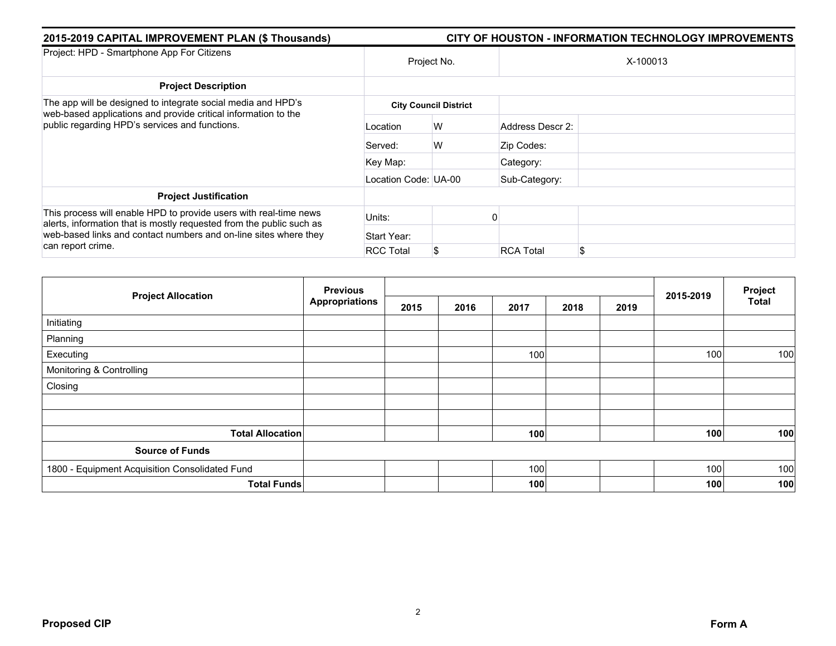| 2015-2019 CAPITAL IMPROVEMENT PLAN (\$ Thousands)                                                                                                                                                                                  | <b>CITY OF HOUSTON - INFORMATION TECHNOLOGY IMPROVEMENTS</b> |                              |                  |          |  |  |  |  |
|------------------------------------------------------------------------------------------------------------------------------------------------------------------------------------------------------------------------------------|--------------------------------------------------------------|------------------------------|------------------|----------|--|--|--|--|
| Project: HPD - Smartphone App For Citizens                                                                                                                                                                                         | Project No.                                                  |                              |                  | X-100013 |  |  |  |  |
| <b>Project Description</b>                                                                                                                                                                                                         |                                                              |                              |                  |          |  |  |  |  |
| The app will be designed to integrate social media and HPD's<br>web-based applications and provide critical information to the<br>public regarding HPD's services and functions.                                                   |                                                              | <b>City Council District</b> |                  |          |  |  |  |  |
|                                                                                                                                                                                                                                    | Location                                                     | W                            | Address Descr 2: |          |  |  |  |  |
|                                                                                                                                                                                                                                    | Served:                                                      | W                            | Zip Codes:       |          |  |  |  |  |
|                                                                                                                                                                                                                                    | Key Map:                                                     |                              | Category:        |          |  |  |  |  |
|                                                                                                                                                                                                                                    | Location Code: UA-00                                         |                              | Sub-Category:    |          |  |  |  |  |
| <b>Project Justification</b>                                                                                                                                                                                                       |                                                              |                              |                  |          |  |  |  |  |
| This process will enable HPD to provide users with real-time news<br>alerts, information that is mostly requested from the public such as<br>web-based links and contact numbers and on-line sites where they<br>can report crime. | Units:                                                       |                              |                  |          |  |  |  |  |
|                                                                                                                                                                                                                                    | Start Year:                                                  |                              |                  |          |  |  |  |  |
|                                                                                                                                                                                                                                    | <b>RCC Total</b>                                             | \$                           | <b>RCA Total</b> | \$       |  |  |  |  |

|                                                | <b>Previous</b>       |      |      | Project |      |      |           |              |
|------------------------------------------------|-----------------------|------|------|---------|------|------|-----------|--------------|
| <b>Project Allocation</b>                      | <b>Appropriations</b> | 2015 | 2016 | 2017    | 2018 | 2019 | 2015-2019 | <b>Total</b> |
| Initiating                                     |                       |      |      |         |      |      |           |              |
| Planning                                       |                       |      |      |         |      |      |           |              |
| Executing                                      |                       |      |      | 100     |      |      | 100       | 100          |
| Monitoring & Controlling                       |                       |      |      |         |      |      |           |              |
| Closing                                        |                       |      |      |         |      |      |           |              |
|                                                |                       |      |      |         |      |      |           |              |
|                                                |                       |      |      |         |      |      |           |              |
| <b>Total Allocation</b>                        |                       |      |      | 100     |      |      | 100       | 100          |
| <b>Source of Funds</b>                         |                       |      |      |         |      |      |           |              |
| 1800 - Equipment Acquisition Consolidated Fund |                       |      |      | 100     |      |      | 100       | 100          |
| <b>Total Funds</b>                             |                       |      |      | 100     |      |      | 100       | 100          |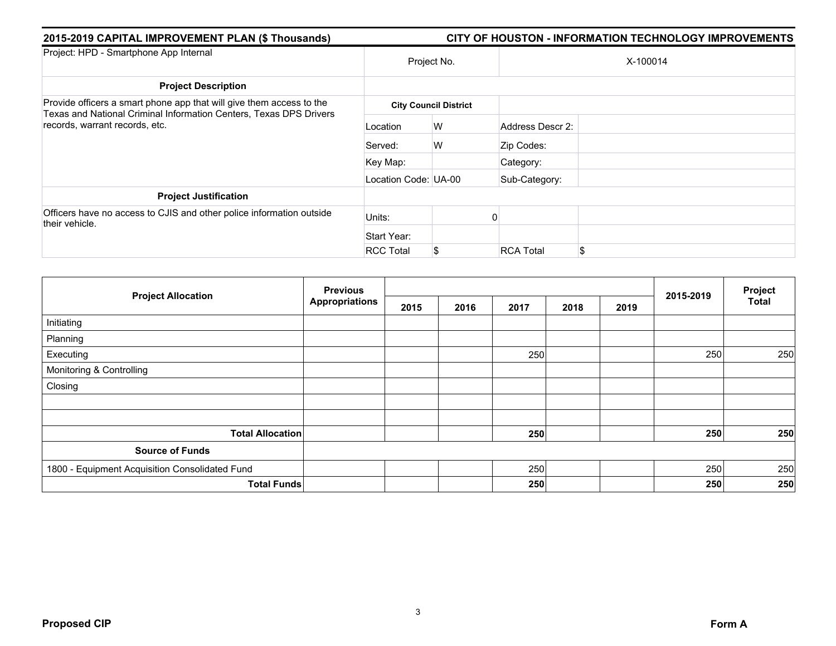| 2015-2019 CAPITAL IMPROVEMENT PLAN (\$ Thousands)<br><b>CITY OF HOUSTON - INFORMATION TECHNOLOGY IMPROVEMENTS</b>                                                            |                      |                              |                  |          |  |  |  |
|------------------------------------------------------------------------------------------------------------------------------------------------------------------------------|----------------------|------------------------------|------------------|----------|--|--|--|
| Project: HPD - Smartphone App Internal                                                                                                                                       | Project No.          |                              |                  | X-100014 |  |  |  |
| <b>Project Description</b>                                                                                                                                                   |                      |                              |                  |          |  |  |  |
| Provide officers a smart phone app that will give them access to the<br>Texas and National Criminal Information Centers, Texas DPS Drivers<br>records, warrant records, etc. |                      | <b>City Council District</b> |                  |          |  |  |  |
|                                                                                                                                                                              | Location             | W                            | Address Descr 2: |          |  |  |  |
|                                                                                                                                                                              | Served:              | W                            | Zip Codes:       |          |  |  |  |
|                                                                                                                                                                              | Key Map:             |                              | Category:        |          |  |  |  |
|                                                                                                                                                                              | Location Code: UA-00 |                              | Sub-Category:    |          |  |  |  |
| <b>Project Justification</b>                                                                                                                                                 |                      |                              |                  |          |  |  |  |
| Officers have no access to CJIS and other police information outside<br>their vehicle.                                                                                       | Units:               |                              |                  |          |  |  |  |
|                                                                                                                                                                              | Start Year:          |                              |                  |          |  |  |  |
|                                                                                                                                                                              | <b>RCC Total</b>     | \$                           | <b>RCA Total</b> | \$.      |  |  |  |

|                                                | <b>Previous</b><br><b>Appropriations</b> |      |      |      |      | Project |           |              |
|------------------------------------------------|------------------------------------------|------|------|------|------|---------|-----------|--------------|
| <b>Project Allocation</b>                      |                                          | 2015 | 2016 | 2017 | 2018 | 2019    | 2015-2019 | <b>Total</b> |
| Initiating                                     |                                          |      |      |      |      |         |           |              |
| Planning                                       |                                          |      |      |      |      |         |           |              |
| Executing                                      |                                          |      |      | 250  |      |         | 250       | 250          |
| Monitoring & Controlling                       |                                          |      |      |      |      |         |           |              |
| Closing                                        |                                          |      |      |      |      |         |           |              |
|                                                |                                          |      |      |      |      |         |           |              |
|                                                |                                          |      |      |      |      |         |           |              |
| <b>Total Allocation</b>                        |                                          |      |      | 250  |      |         | 250       | 250          |
| <b>Source of Funds</b>                         |                                          |      |      |      |      |         |           |              |
| 1800 - Equipment Acquisition Consolidated Fund |                                          |      |      | 250  |      |         | 250       | 250          |
| <b>Total Funds</b>                             |                                          |      |      | 250  |      |         | 250       | 250          |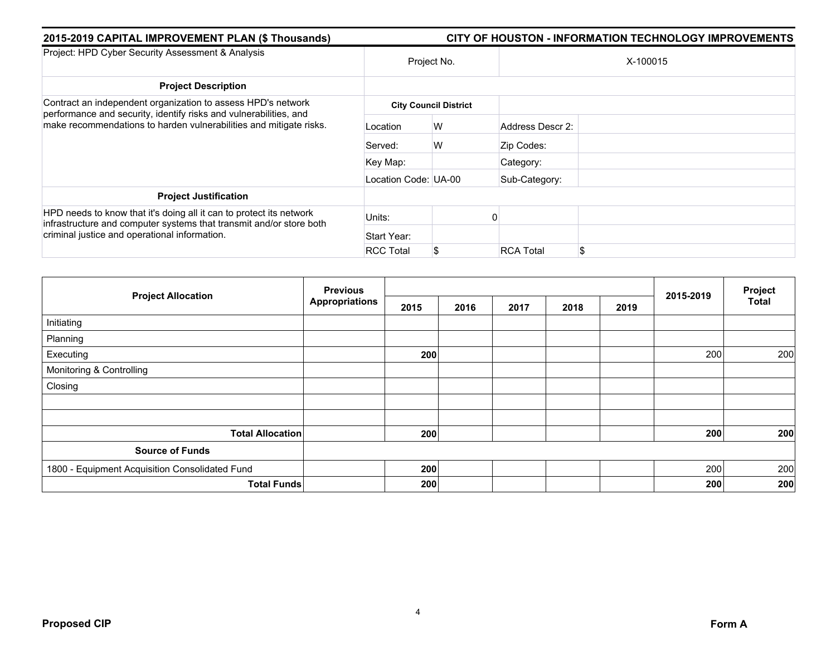| 2015-2019 CAPITAL IMPROVEMENT PLAN (\$ Thousands)                                                                                                                                                       | <b>CITY OF HOUSTON - INFORMATION TECHNOLOGY IMPROVEMENTS</b> |                              |                  |          |  |  |  |  |
|---------------------------------------------------------------------------------------------------------------------------------------------------------------------------------------------------------|--------------------------------------------------------------|------------------------------|------------------|----------|--|--|--|--|
| Project: HPD Cyber Security Assessment & Analysis                                                                                                                                                       | Project No.                                                  |                              |                  | X-100015 |  |  |  |  |
| <b>Project Description</b>                                                                                                                                                                              |                                                              |                              |                  |          |  |  |  |  |
| Contract an independent organization to assess HPD's network<br>performance and security, identify risks and vulnerabilities, and<br>make recommendations to harden vulnerabilities and mitigate risks. |                                                              | <b>City Council District</b> |                  |          |  |  |  |  |
|                                                                                                                                                                                                         | Location                                                     | W                            | Address Descr 2: |          |  |  |  |  |
|                                                                                                                                                                                                         | Served:                                                      | W                            | Zip Codes:       |          |  |  |  |  |
|                                                                                                                                                                                                         | Key Map:                                                     |                              | Category:        |          |  |  |  |  |
|                                                                                                                                                                                                         | Location Code: UA-00                                         |                              | Sub-Category:    |          |  |  |  |  |
| <b>Project Justification</b>                                                                                                                                                                            |                                                              |                              |                  |          |  |  |  |  |
| HPD needs to know that it's doing all it can to protect its network<br>infrastructure and computer systems that transmit and/or store both<br>criminal justice and operational information.             | Units:                                                       |                              |                  |          |  |  |  |  |
|                                                                                                                                                                                                         | Start Year:                                                  |                              |                  |          |  |  |  |  |
|                                                                                                                                                                                                         | <b>RCC Total</b>                                             | S                            | <b>RCA Total</b> |          |  |  |  |  |

| <b>Project Allocation</b>                      | <b>Previous</b>       |      |      | Project |      |      |           |              |
|------------------------------------------------|-----------------------|------|------|---------|------|------|-----------|--------------|
|                                                | <b>Appropriations</b> | 2015 | 2016 | 2017    | 2018 | 2019 | 2015-2019 | <b>Total</b> |
| Initiating                                     |                       |      |      |         |      |      |           |              |
| Planning                                       |                       |      |      |         |      |      |           |              |
| Executing                                      |                       | 200  |      |         |      |      | 200       | 200          |
| Monitoring & Controlling                       |                       |      |      |         |      |      |           |              |
| Closing                                        |                       |      |      |         |      |      |           |              |
|                                                |                       |      |      |         |      |      |           |              |
|                                                |                       |      |      |         |      |      |           |              |
| <b>Total Allocation</b>                        |                       | 200  |      |         |      |      | 200       | 200          |
| <b>Source of Funds</b>                         |                       |      |      |         |      |      |           |              |
| 1800 - Equipment Acquisition Consolidated Fund |                       | 200  |      |         |      |      | 200       | 200          |
| <b>Total Funds</b>                             |                       | 200  |      |         |      |      | 200       | 200          |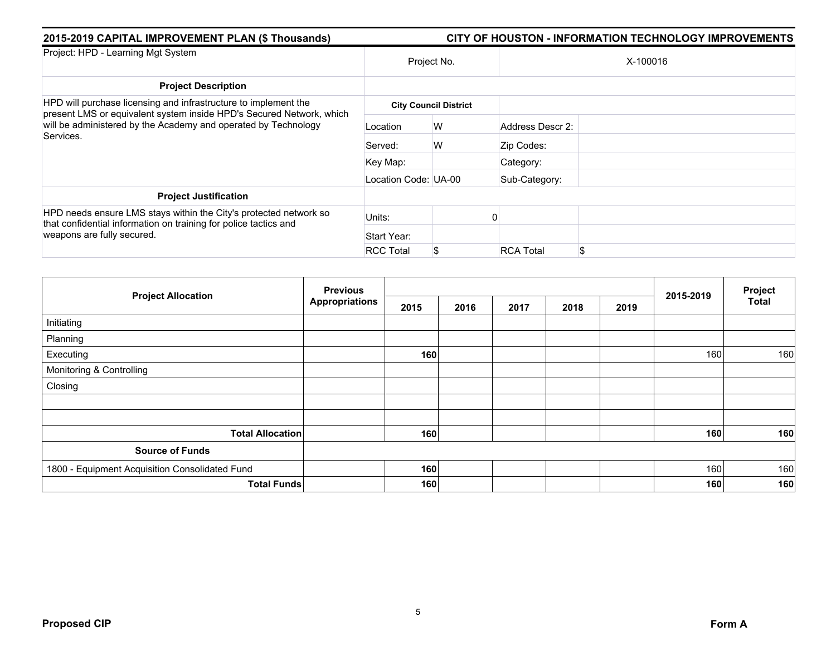| 2015-2019 CAPITAL IMPROVEMENT PLAN (\$ Thousands)                                                                                                                                                                      | CITY OF HOUSTON - INFORMATION TECHNOLOGY IMPROVEMENTS |                              |                  |          |  |  |  |
|------------------------------------------------------------------------------------------------------------------------------------------------------------------------------------------------------------------------|-------------------------------------------------------|------------------------------|------------------|----------|--|--|--|
| Project: HPD - Learning Mgt System                                                                                                                                                                                     | Project No.                                           |                              |                  | X-100016 |  |  |  |
| <b>Project Description</b>                                                                                                                                                                                             |                                                       |                              |                  |          |  |  |  |
| HPD will purchase licensing and infrastructure to implement the<br>present LMS or equivalent system inside HPD's Secured Network, which<br>will be administered by the Academy and operated by Technology<br>Services. |                                                       | <b>City Council District</b> |                  |          |  |  |  |
|                                                                                                                                                                                                                        | Location                                              | W                            | Address Descr 2: |          |  |  |  |
|                                                                                                                                                                                                                        | Served:                                               | W                            | Zip Codes:       |          |  |  |  |
|                                                                                                                                                                                                                        | Key Map:                                              |                              | Category:        |          |  |  |  |
|                                                                                                                                                                                                                        | Location Code: UA-00                                  |                              | Sub-Category:    |          |  |  |  |
| <b>Project Justification</b>                                                                                                                                                                                           |                                                       |                              |                  |          |  |  |  |
| HPD needs ensure LMS stays within the City's protected network so<br>that confidential information on training for police tactics and<br>weapons are fully secured.                                                    | Units:                                                |                              |                  |          |  |  |  |
|                                                                                                                                                                                                                        | Start Year:                                           |                              |                  |          |  |  |  |
|                                                                                                                                                                                                                        | <b>RCC Total</b>                                      | \$                           | <b>RCA Total</b> | \$       |  |  |  |

| <b>Project Allocation</b>                      | <b>Previous</b>       |      |      |      |      | Project |           |              |
|------------------------------------------------|-----------------------|------|------|------|------|---------|-----------|--------------|
|                                                | <b>Appropriations</b> | 2015 | 2016 | 2017 | 2018 | 2019    | 2015-2019 | <b>Total</b> |
| Initiating                                     |                       |      |      |      |      |         |           |              |
| Planning                                       |                       |      |      |      |      |         |           |              |
| Executing                                      |                       | 160  |      |      |      |         | 160       | 160          |
| Monitoring & Controlling                       |                       |      |      |      |      |         |           |              |
| Closing                                        |                       |      |      |      |      |         |           |              |
|                                                |                       |      |      |      |      |         |           |              |
|                                                |                       |      |      |      |      |         |           |              |
| <b>Total Allocation</b>                        |                       | 160  |      |      |      |         | 160       | 160          |
| <b>Source of Funds</b>                         |                       |      |      |      |      |         |           |              |
| 1800 - Equipment Acquisition Consolidated Fund |                       | 160  |      |      |      |         | 160       | 160          |
| <b>Total Funds</b>                             |                       | 160  |      |      |      |         | 160       | 160          |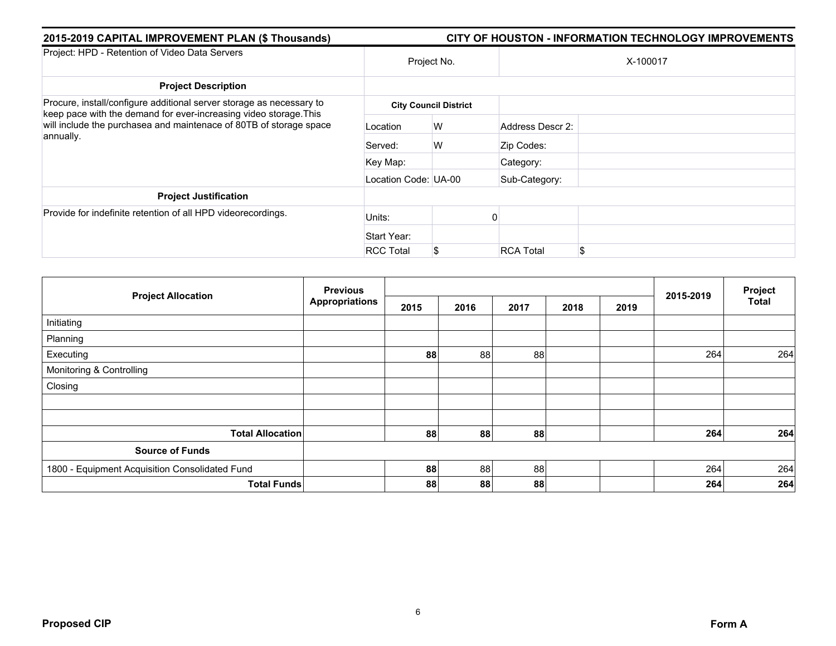| 2015-2019 CAPITAL IMPROVEMENT PLAN (\$ Thousands)                                                                                                                                                                            | <b>CITY OF HOUSTON - INFORMATION TECHNOLOGY IMPROVEMENTS</b> |                              |                  |     |  |  |  |  |
|------------------------------------------------------------------------------------------------------------------------------------------------------------------------------------------------------------------------------|--------------------------------------------------------------|------------------------------|------------------|-----|--|--|--|--|
| Project: HPD - Retention of Video Data Servers                                                                                                                                                                               | Project No.                                                  |                              | X-100017         |     |  |  |  |  |
| <b>Project Description</b>                                                                                                                                                                                                   |                                                              |                              |                  |     |  |  |  |  |
| Procure, install/configure additional server storage as necessary to<br>keep pace with the demand for ever-increasing video storage. This<br>will include the purchasea and maintenace of 80TB of storage space<br>annually. |                                                              | <b>City Council District</b> |                  |     |  |  |  |  |
|                                                                                                                                                                                                                              | Location                                                     | W                            | Address Descr 2: |     |  |  |  |  |
|                                                                                                                                                                                                                              | Served:                                                      | W                            | Zip Codes:       |     |  |  |  |  |
|                                                                                                                                                                                                                              | Key Map:                                                     |                              | Category:        |     |  |  |  |  |
|                                                                                                                                                                                                                              | Location Code: UA-00                                         |                              | Sub-Category:    |     |  |  |  |  |
| <b>Project Justification</b>                                                                                                                                                                                                 |                                                              |                              |                  |     |  |  |  |  |
| Provide for indefinite retention of all HPD videorecordings.                                                                                                                                                                 | Units:                                                       |                              |                  |     |  |  |  |  |
|                                                                                                                                                                                                                              | Start Year:                                                  |                              |                  |     |  |  |  |  |
|                                                                                                                                                                                                                              | <b>RCC Total</b>                                             | \$                           | <b>RCA Total</b> | \$. |  |  |  |  |

| <b>Project Allocation</b>                      | <b>Previous</b>       |      |      |      |      | 2015-2019 | Project |              |
|------------------------------------------------|-----------------------|------|------|------|------|-----------|---------|--------------|
|                                                | <b>Appropriations</b> | 2015 | 2016 | 2017 | 2018 | 2019      |         | <b>Total</b> |
| Initiating                                     |                       |      |      |      |      |           |         |              |
| Planning                                       |                       |      |      |      |      |           |         |              |
| Executing                                      |                       | 88   | 88   | 88   |      |           | 264     | 264          |
| Monitoring & Controlling                       |                       |      |      |      |      |           |         |              |
| Closing                                        |                       |      |      |      |      |           |         |              |
|                                                |                       |      |      |      |      |           |         |              |
|                                                |                       |      |      |      |      |           |         |              |
| <b>Total Allocation</b>                        |                       | 88   | 88   | 88   |      |           | 264     | 264          |
| <b>Source of Funds</b>                         |                       |      |      |      |      |           |         |              |
| 1800 - Equipment Acquisition Consolidated Fund |                       | 88   | 88   | 88   |      |           | 264     | 264          |
| <b>Total Funds</b>                             |                       | 88   | 88   | 88   |      |           | 264     | 264          |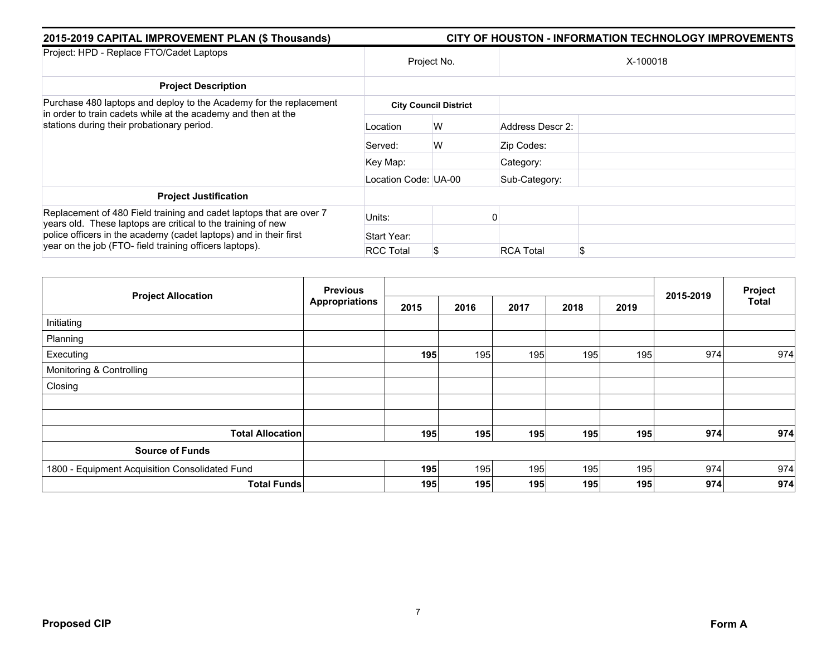| 2015-2019 CAPITAL IMPROVEMENT PLAN (\$ Thousands)                                                                                   | <b>CITY OF HOUSTON - INFORMATION TECHNOLOGY IMPROVEMENTS</b> |                              |                  |          |  |  |  |  |
|-------------------------------------------------------------------------------------------------------------------------------------|--------------------------------------------------------------|------------------------------|------------------|----------|--|--|--|--|
| Project: HPD - Replace FTO/Cadet Laptops                                                                                            |                                                              | Project No.                  |                  | X-100018 |  |  |  |  |
| <b>Project Description</b>                                                                                                          |                                                              |                              |                  |          |  |  |  |  |
| Purchase 480 laptops and deploy to the Academy for the replacement<br>in order to train cadets while at the academy and then at the |                                                              | <b>City Council District</b> |                  |          |  |  |  |  |
| stations during their probationary period.                                                                                          | Location                                                     | W                            | Address Descr 2: |          |  |  |  |  |
|                                                                                                                                     | Served:                                                      | W                            | Zip Codes:       |          |  |  |  |  |
|                                                                                                                                     | Key Map:                                                     |                              | Category:        |          |  |  |  |  |
|                                                                                                                                     | Location Code: UA-00                                         |                              | Sub-Category:    |          |  |  |  |  |
| <b>Project Justification</b>                                                                                                        |                                                              |                              |                  |          |  |  |  |  |
| Replacement of 480 Field training and cadet laptops that are over 7<br>years old. These laptops are critical to the training of new | Units:                                                       |                              |                  |          |  |  |  |  |
| police officers in the academy (cadet laptops) and in their first<br>year on the job (FTO- field training officers laptops).        | Start Year:                                                  |                              |                  |          |  |  |  |  |
|                                                                                                                                     | <b>RCC Total</b>                                             | \$                           | <b>RCA Total</b> | \$       |  |  |  |  |

| <b>Project Allocation</b>                      | <b>Previous</b>       |      |      |      |      | Project |           |              |
|------------------------------------------------|-----------------------|------|------|------|------|---------|-----------|--------------|
|                                                | <b>Appropriations</b> | 2015 | 2016 | 2017 | 2018 | 2019    | 2015-2019 | <b>Total</b> |
| Initiating                                     |                       |      |      |      |      |         |           |              |
| Planning                                       |                       |      |      |      |      |         |           |              |
| Executing                                      |                       | 195  | 195  | 195  | 195  | 195     | 974       | 974          |
| Monitoring & Controlling                       |                       |      |      |      |      |         |           |              |
| Closing                                        |                       |      |      |      |      |         |           |              |
|                                                |                       |      |      |      |      |         |           |              |
|                                                |                       |      |      |      |      |         |           |              |
| <b>Total Allocation</b>                        |                       | 195  | 195  | 195  | 195  | 195     | 974       | 974          |
| <b>Source of Funds</b>                         |                       |      |      |      |      |         |           |              |
| 1800 - Equipment Acquisition Consolidated Fund |                       | 195  | 195  | 195  | 195  | 195     | 974       | 974          |
| <b>Total Funds</b>                             |                       | 195  | 195  | 195  | 195  | 195     | 974       | 974          |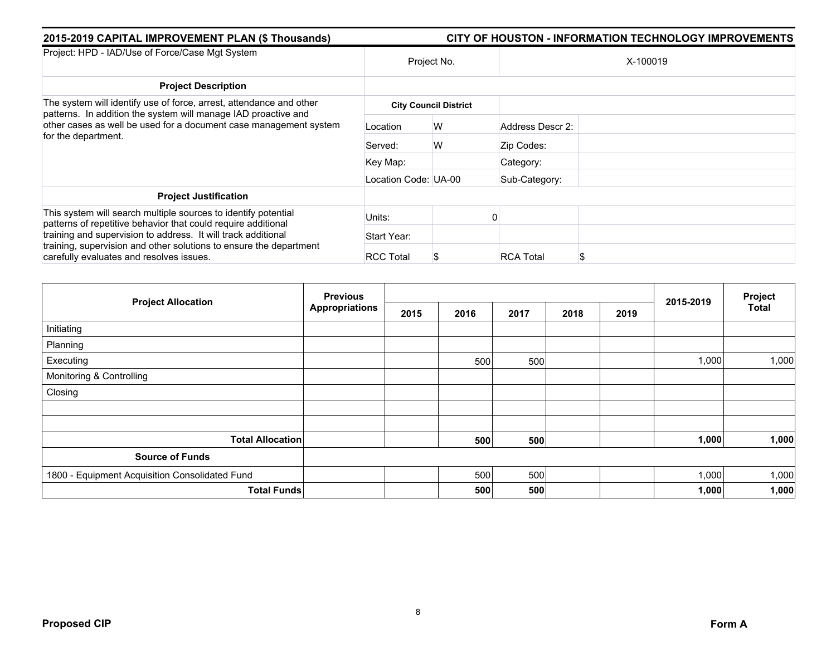| 2015-2019 CAPITAL IMPROVEMENT PLAN (\$ Thousands)                                                                                     | <b>CITY OF HOUSTON - INFORMATION TECHNOLOGY IMPROVEMENTS</b> |                              |                  |          |  |  |  |  |
|---------------------------------------------------------------------------------------------------------------------------------------|--------------------------------------------------------------|------------------------------|------------------|----------|--|--|--|--|
| Project: HPD - IAD/Use of Force/Case Mgt System                                                                                       |                                                              | Project No.                  |                  | X-100019 |  |  |  |  |
| <b>Project Description</b>                                                                                                            |                                                              |                              |                  |          |  |  |  |  |
| The system will identify use of force, arrest, attendance and other<br>patterns. In addition the system will manage IAD proactive and |                                                              | <b>City Council District</b> |                  |          |  |  |  |  |
| other cases as well be used for a document case management system<br>for the department.                                              | Location                                                     | W                            | Address Descr 2: |          |  |  |  |  |
|                                                                                                                                       | Served:                                                      | W                            | Zip Codes:       |          |  |  |  |  |
|                                                                                                                                       | Key Map:                                                     |                              | Category:        |          |  |  |  |  |
|                                                                                                                                       | Location Code: UA-00                                         |                              | Sub-Category:    |          |  |  |  |  |
| <b>Project Justification</b>                                                                                                          |                                                              |                              |                  |          |  |  |  |  |
| This system will search multiple sources to identify potential<br>patterns of repetitive behavior that could require additional       | Units:                                                       |                              |                  |          |  |  |  |  |
| training and supervision to address. It will track additional                                                                         | Start Year:                                                  |                              |                  |          |  |  |  |  |
| training, supervision and other solutions to ensure the department<br>carefully evaluates and resolves issues.                        | <b>RCC Total</b>                                             |                              | <b>RCA Total</b> |          |  |  |  |  |

| <b>Project Allocation</b>                      | <b>Previous</b>       |      |      |      |      |      | 2015-2019 | Project      |
|------------------------------------------------|-----------------------|------|------|------|------|------|-----------|--------------|
|                                                | <b>Appropriations</b> | 2015 | 2016 | 2017 | 2018 | 2019 |           | <b>Total</b> |
| Initiating                                     |                       |      |      |      |      |      |           |              |
| Planning                                       |                       |      |      |      |      |      |           |              |
| Executing                                      |                       |      | 500  | 500  |      |      | 1,000     | 1,000        |
| Monitoring & Controlling                       |                       |      |      |      |      |      |           |              |
| Closing                                        |                       |      |      |      |      |      |           |              |
|                                                |                       |      |      |      |      |      |           |              |
|                                                |                       |      |      |      |      |      |           |              |
| <b>Total Allocation</b>                        |                       |      | 500  | 500  |      |      | 1,000     | 1,000        |
| <b>Source of Funds</b>                         |                       |      |      |      |      |      |           |              |
| 1800 - Equipment Acquisition Consolidated Fund |                       |      | 500  | 500  |      |      | 1,000     | 1,000        |
| <b>Total Funds</b>                             |                       |      | 500  | 500  |      |      | 1,000     | 1,000        |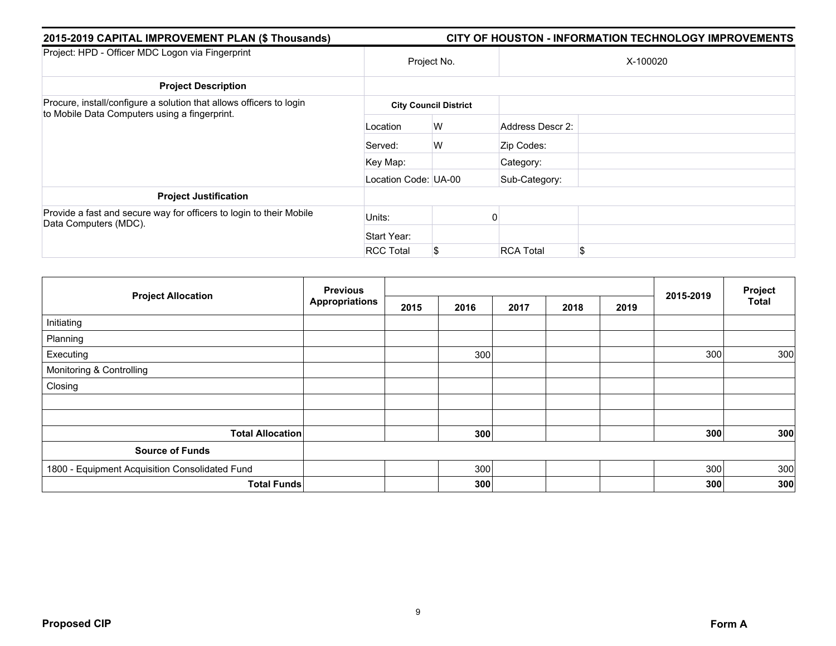| 2015-2019 CAPITAL IMPROVEMENT PLAN (\$ Thousands)                                                                    | <b>CITY OF HOUSTON - INFORMATION TECHNOLOGY IMPROVEMENTS</b> |                              |                  |          |  |  |  |  |  |
|----------------------------------------------------------------------------------------------------------------------|--------------------------------------------------------------|------------------------------|------------------|----------|--|--|--|--|--|
| Project: HPD - Officer MDC Logon via Fingerprint                                                                     | Project No.                                                  |                              |                  | X-100020 |  |  |  |  |  |
| <b>Project Description</b>                                                                                           |                                                              |                              |                  |          |  |  |  |  |  |
| Procure, install/configure a solution that allows officers to login<br>to Mobile Data Computers using a fingerprint. |                                                              | <b>City Council District</b> |                  |          |  |  |  |  |  |
|                                                                                                                      | Location                                                     | W                            | Address Descr 2: |          |  |  |  |  |  |
|                                                                                                                      | Served:                                                      | W                            | Zip Codes:       |          |  |  |  |  |  |
|                                                                                                                      | Key Map:                                                     |                              | Category:        |          |  |  |  |  |  |
|                                                                                                                      | Location Code: UA-00                                         |                              | Sub-Category:    |          |  |  |  |  |  |
| <b>Project Justification</b>                                                                                         |                                                              |                              |                  |          |  |  |  |  |  |
| Provide a fast and secure way for officers to login to their Mobile<br>Data Computers (MDC).                         | Units:                                                       |                              |                  |          |  |  |  |  |  |
|                                                                                                                      | Start Year:                                                  |                              |                  |          |  |  |  |  |  |
|                                                                                                                      | <b>RCC Total</b>                                             | \$                           | <b>RCA Total</b> | \$       |  |  |  |  |  |

| <b>Project Allocation</b>                      | <b>Previous</b>       |      |      |      |      | Project |           |              |
|------------------------------------------------|-----------------------|------|------|------|------|---------|-----------|--------------|
|                                                | <b>Appropriations</b> | 2015 | 2016 | 2017 | 2018 | 2019    | 2015-2019 | <b>Total</b> |
| Initiating                                     |                       |      |      |      |      |         |           |              |
| Planning                                       |                       |      |      |      |      |         |           |              |
| Executing                                      |                       |      | 300  |      |      |         | 300       | 300          |
| Monitoring & Controlling                       |                       |      |      |      |      |         |           |              |
| Closing                                        |                       |      |      |      |      |         |           |              |
|                                                |                       |      |      |      |      |         |           |              |
|                                                |                       |      |      |      |      |         |           |              |
| <b>Total Allocation</b>                        |                       |      | 300  |      |      |         | 300       | 300          |
| <b>Source of Funds</b>                         |                       |      |      |      |      |         |           |              |
| 1800 - Equipment Acquisition Consolidated Fund |                       |      | 300  |      |      |         | 300       | 300          |
|                                                | <b>Total Funds</b>    |      | 300  |      |      |         | 300       | 300          |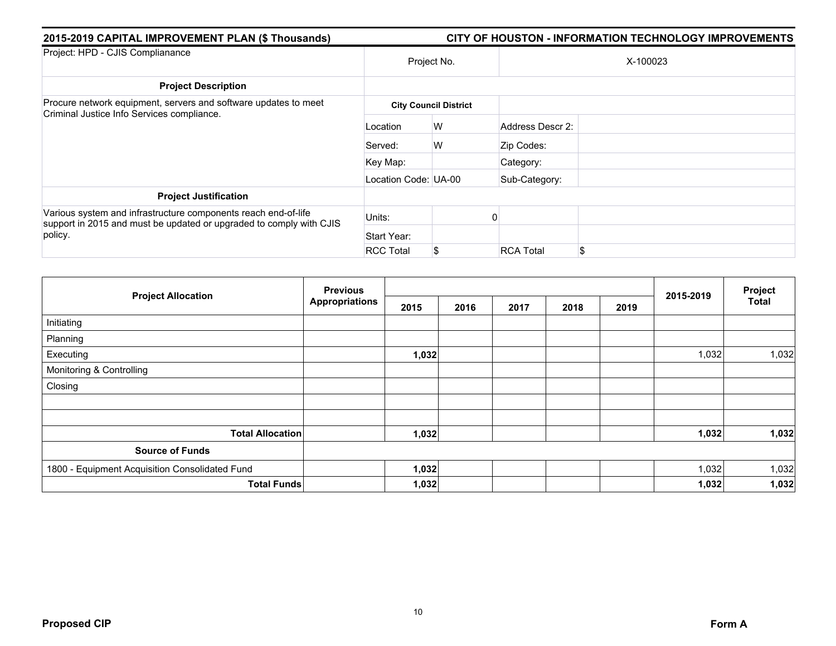| 2015-2019 CAPITAL IMPROVEMENT PLAN (\$ Thousands)                                                                                     | <b>CITY OF HOUSTON - INFORMATION TECHNOLOGY IMPROVEMENTS</b> |                              |                  |          |  |  |  |  |
|---------------------------------------------------------------------------------------------------------------------------------------|--------------------------------------------------------------|------------------------------|------------------|----------|--|--|--|--|
| Project: HPD - CJIS Complianance                                                                                                      | Project No.                                                  |                              |                  | X-100023 |  |  |  |  |
| <b>Project Description</b>                                                                                                            |                                                              |                              |                  |          |  |  |  |  |
| Procure network equipment, servers and software updates to meet<br>Criminal Justice Info Services compliance.                         |                                                              | <b>City Council District</b> |                  |          |  |  |  |  |
|                                                                                                                                       | Location                                                     | W                            | Address Descr 2: |          |  |  |  |  |
|                                                                                                                                       | Served:                                                      | W                            | Zip Codes:       |          |  |  |  |  |
|                                                                                                                                       | Key Map:                                                     |                              | Category:        |          |  |  |  |  |
|                                                                                                                                       | Location Code: UA-00                                         |                              | Sub-Category:    |          |  |  |  |  |
| <b>Project Justification</b>                                                                                                          |                                                              |                              |                  |          |  |  |  |  |
| Various system and infrastructure components reach end-of-life<br>support in 2015 and must be updated or upgraded to comply with CJIS | Units:                                                       |                              |                  |          |  |  |  |  |
| policy.                                                                                                                               | Start Year:                                                  |                              |                  |          |  |  |  |  |
|                                                                                                                                       | <b>RCC Total</b>                                             | S.                           | <b>RCA Total</b> | \$       |  |  |  |  |

|                                                | <b>Previous</b>       |       |      |      | Project |      |           |              |
|------------------------------------------------|-----------------------|-------|------|------|---------|------|-----------|--------------|
| <b>Project Allocation</b>                      | <b>Appropriations</b> | 2015  | 2016 | 2017 | 2018    | 2019 | 2015-2019 | <b>Total</b> |
| Initiating                                     |                       |       |      |      |         |      |           |              |
| Planning                                       |                       |       |      |      |         |      |           |              |
| Executing                                      |                       | 1,032 |      |      |         |      | 1,032     | 1,032        |
| Monitoring & Controlling                       |                       |       |      |      |         |      |           |              |
| Closing                                        |                       |       |      |      |         |      |           |              |
|                                                |                       |       |      |      |         |      |           |              |
|                                                |                       |       |      |      |         |      |           |              |
| <b>Total Allocation</b>                        |                       | 1,032 |      |      |         |      | 1,032     | 1,032        |
| <b>Source of Funds</b>                         |                       |       |      |      |         |      |           |              |
| 1800 - Equipment Acquisition Consolidated Fund |                       | 1,032 |      |      |         |      | 1,032     | 1,032        |
| <b>Total Funds</b>                             |                       | 1,032 |      |      |         |      | 1,032     | 1,032        |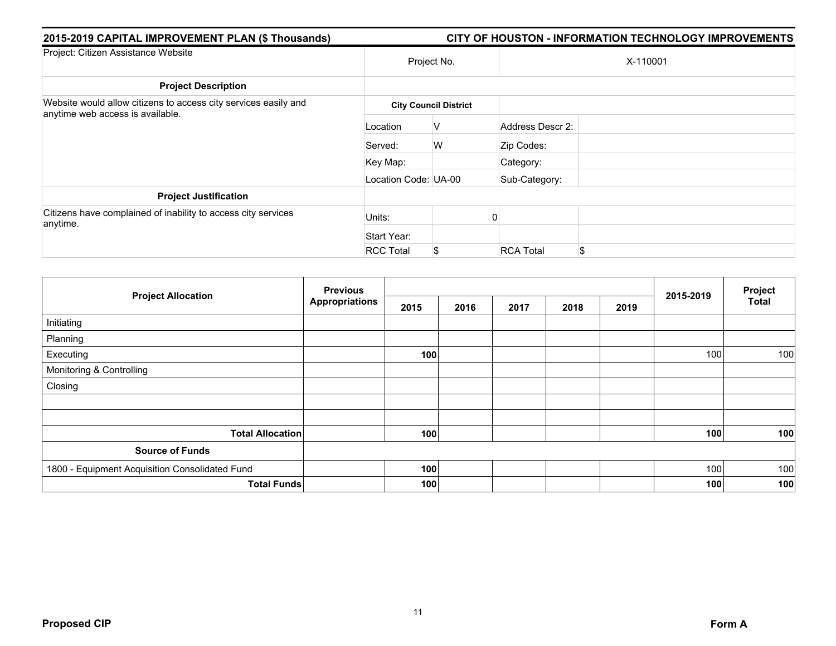| 2015-2019 CAPITAL IMPROVEMENT PLAN (\$ Thousands)                                                   | <b>CITY OF HOUSTON - INFORMATION TECHNOLOGY IMPROVEMENTS</b> |                              |                        |  |  |  |  |
|-----------------------------------------------------------------------------------------------------|--------------------------------------------------------------|------------------------------|------------------------|--|--|--|--|
| Project: Citizen Assistance Website                                                                 | Project No.                                                  |                              | X-110001               |  |  |  |  |
| <b>Project Description</b>                                                                          |                                                              |                              |                        |  |  |  |  |
| Website would allow citizens to access city services easily and<br>anytime web access is available. |                                                              | <b>City Council District</b> |                        |  |  |  |  |
|                                                                                                     | Location                                                     | V                            | Address Descr 2:       |  |  |  |  |
|                                                                                                     | Served:                                                      | W                            | Zip Codes:             |  |  |  |  |
|                                                                                                     | Key Map:                                                     |                              | Category:              |  |  |  |  |
|                                                                                                     | Location Code: UA-00                                         |                              | Sub-Category:          |  |  |  |  |
| <b>Project Justification</b>                                                                        |                                                              |                              |                        |  |  |  |  |
| Citizens have complained of inability to access city services<br>anytime.                           | Units:                                                       |                              |                        |  |  |  |  |
|                                                                                                     | Start Year:                                                  |                              |                        |  |  |  |  |
|                                                                                                     | <b>RCC Total</b>                                             | \$                           | <b>RCA Total</b><br>\$ |  |  |  |  |

| <b>Project Allocation</b>                      | <b>Previous</b>       |      |      |      |      | Project |           |              |
|------------------------------------------------|-----------------------|------|------|------|------|---------|-----------|--------------|
|                                                | <b>Appropriations</b> | 2015 | 2016 | 2017 | 2018 | 2019    | 2015-2019 | <b>Total</b> |
| Initiating                                     |                       |      |      |      |      |         |           |              |
| Planning                                       |                       |      |      |      |      |         |           |              |
| Executing                                      |                       | 100  |      |      |      |         | 100       | 100          |
| Monitoring & Controlling                       |                       |      |      |      |      |         |           |              |
| Closing                                        |                       |      |      |      |      |         |           |              |
|                                                |                       |      |      |      |      |         |           |              |
|                                                |                       |      |      |      |      |         |           |              |
| <b>Total Allocation</b>                        |                       | 100  |      |      |      |         | 100       | 100          |
| <b>Source of Funds</b>                         |                       |      |      |      |      |         |           |              |
| 1800 - Equipment Acquisition Consolidated Fund |                       | 100  |      |      |      |         | 100       | 100          |
| <b>Total Funds</b>                             |                       | 100  |      |      |      |         | 100       | 100          |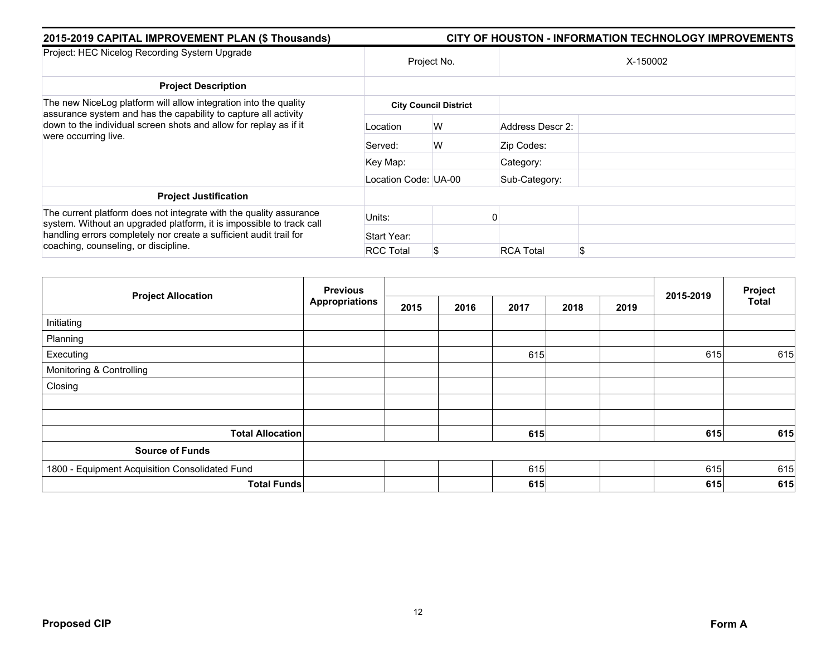| 2015-2019 CAPITAL IMPROVEMENT PLAN (\$ Thousands)                                                                                          | CITY OF HOUSTON - INFORMATION TECHNOLOGY IMPROVEMENTS |                              |                  |     |  |  |  |  |
|--------------------------------------------------------------------------------------------------------------------------------------------|-------------------------------------------------------|------------------------------|------------------|-----|--|--|--|--|
| Project: HEC Nicelog Recording System Upgrade                                                                                              | Project No.                                           |                              | X-150002         |     |  |  |  |  |
| <b>Project Description</b>                                                                                                                 |                                                       |                              |                  |     |  |  |  |  |
| The new NiceLog platform will allow integration into the quality<br>assurance system and has the capability to capture all activity        |                                                       | <b>City Council District</b> |                  |     |  |  |  |  |
| down to the individual screen shots and allow for replay as if it<br>were occurring live.                                                  | Location                                              | W                            | Address Descr 2: |     |  |  |  |  |
|                                                                                                                                            | Served:                                               | W                            | Zip Codes:       |     |  |  |  |  |
|                                                                                                                                            | Key Map:                                              |                              | Category:        |     |  |  |  |  |
|                                                                                                                                            | Location Code: UA-00                                  |                              | Sub-Category:    |     |  |  |  |  |
| <b>Project Justification</b>                                                                                                               |                                                       |                              |                  |     |  |  |  |  |
| The current platform does not integrate with the quality assurance<br>system. Without an upgraded platform, it is impossible to track call | Units:                                                |                              |                  |     |  |  |  |  |
| handling errors completely nor create a sufficient audit trail for<br>coaching, counseling, or discipline.                                 | Start Year:                                           |                              |                  |     |  |  |  |  |
|                                                                                                                                            | <b>RCC Total</b>                                      | \$                           | <b>RCA Total</b> | \$. |  |  |  |  |

|                                                | <b>Previous</b><br><b>Appropriations</b> |      |      |      |      |      |           | Project      |
|------------------------------------------------|------------------------------------------|------|------|------|------|------|-----------|--------------|
| <b>Project Allocation</b>                      |                                          | 2015 | 2016 | 2017 | 2018 | 2019 | 2015-2019 | <b>Total</b> |
| Initiating                                     |                                          |      |      |      |      |      |           |              |
| Planning                                       |                                          |      |      |      |      |      |           |              |
| Executing                                      |                                          |      |      | 615  |      |      | 615       | 615          |
| Monitoring & Controlling                       |                                          |      |      |      |      |      |           |              |
| Closing                                        |                                          |      |      |      |      |      |           |              |
|                                                |                                          |      |      |      |      |      |           |              |
|                                                |                                          |      |      |      |      |      |           |              |
| <b>Total Allocation</b>                        |                                          |      |      | 615  |      |      | 615       | 615          |
| <b>Source of Funds</b>                         |                                          |      |      |      |      |      |           |              |
| 1800 - Equipment Acquisition Consolidated Fund |                                          |      |      | 615  |      |      | 615       | 615          |
| <b>Total Funds</b>                             |                                          |      |      | 615  |      |      | 615       | 615          |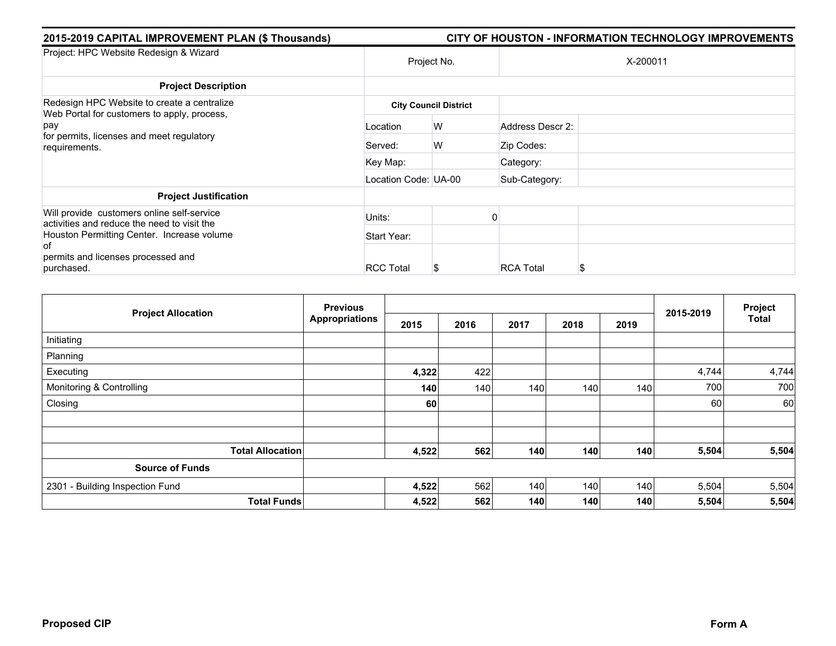| 2015-2019 CAPITAL IMPROVEMENT PLAN (\$ Thousands)<br>CITY OF HOUSTON - INFORMATION TECHNOLOGY IMPROVEMENTS |                  |                                                           |                                      |  |  |  |  |
|------------------------------------------------------------------------------------------------------------|------------------|-----------------------------------------------------------|--------------------------------------|--|--|--|--|
| Project No.                                                                                                |                  |                                                           | X-200011                             |  |  |  |  |
|                                                                                                            |                  |                                                           |                                      |  |  |  |  |
|                                                                                                            |                  |                                                           |                                      |  |  |  |  |
| Location                                                                                                   | W                |                                                           |                                      |  |  |  |  |
| Served:                                                                                                    | W                | Zip Codes:                                                |                                      |  |  |  |  |
| Key Map:                                                                                                   |                  | Category:                                                 |                                      |  |  |  |  |
|                                                                                                            |                  | Sub-Category:                                             |                                      |  |  |  |  |
|                                                                                                            |                  |                                                           |                                      |  |  |  |  |
| Units:                                                                                                     |                  |                                                           |                                      |  |  |  |  |
| Start Year:                                                                                                |                  |                                                           |                                      |  |  |  |  |
|                                                                                                            |                  |                                                           |                                      |  |  |  |  |
|                                                                                                            | <b>RCC Total</b> | <b>City Council District</b><br>Location Code: UA-00<br>S | Address Descr 2:<br><b>RCA Total</b> |  |  |  |  |

| <b>Project Allocation</b>       | <b>Previous</b>    |       |      |      |      |      | 2015-2019 | Project      |
|---------------------------------|--------------------|-------|------|------|------|------|-----------|--------------|
|                                 | Appropriations     | 2015  | 2016 | 2017 | 2018 | 2019 |           | <b>Total</b> |
| Initiating                      |                    |       |      |      |      |      |           |              |
| Planning                        |                    |       |      |      |      |      |           |              |
| Executing                       |                    | 4,322 | 422  |      |      |      | 4,744     | 4,744        |
| Monitoring & Controlling        |                    | 140   | 140  | 140  | 140  | 140  | 700       | 700          |
| Closing                         |                    | 60    |      |      |      |      | 60        | <b>60</b>    |
|                                 |                    |       |      |      |      |      |           |              |
|                                 |                    |       |      |      |      |      |           |              |
| <b>Total Allocation</b>         |                    | 4,522 | 562  | 140  | 140  | 140  | 5,504     | 5,504        |
| <b>Source of Funds</b>          |                    |       |      |      |      |      |           |              |
| 2301 - Building Inspection Fund |                    | 4,522 | 562  | 140  | 140  | 140  | 5,504     | 5,504        |
|                                 | <b>Total Funds</b> | 4,522 | 562  | 140  | 140  | 140  | 5,504     | 5,504        |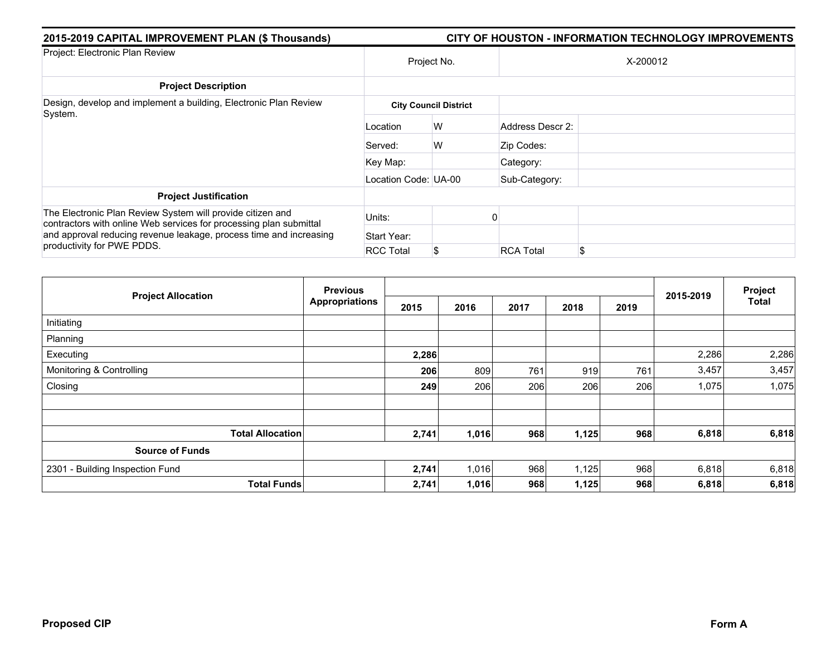| 2015-2019 CAPITAL IMPROVEMENT PLAN (\$ Thousands)                                                                                | <b>CITY OF HOUSTON - INFORMATION TECHNOLOGY IMPROVEMENTS</b> |                              |                  |          |  |  |  |  |
|----------------------------------------------------------------------------------------------------------------------------------|--------------------------------------------------------------|------------------------------|------------------|----------|--|--|--|--|
| Project: Electronic Plan Review                                                                                                  | Project No.                                                  |                              |                  | X-200012 |  |  |  |  |
| <b>Project Description</b>                                                                                                       |                                                              |                              |                  |          |  |  |  |  |
| Design, develop and implement a building, Electronic Plan Review                                                                 |                                                              | <b>City Council District</b> |                  |          |  |  |  |  |
| System.                                                                                                                          | Location                                                     | W                            | Address Descr 2: |          |  |  |  |  |
|                                                                                                                                  | Served:                                                      | W                            | Zip Codes:       |          |  |  |  |  |
|                                                                                                                                  | Key Map:                                                     |                              | Category:        |          |  |  |  |  |
|                                                                                                                                  | Location Code: UA-00                                         |                              | Sub-Category:    |          |  |  |  |  |
| <b>Project Justification</b>                                                                                                     |                                                              |                              |                  |          |  |  |  |  |
| The Electronic Plan Review System will provide citizen and<br>contractors with online Web services for processing plan submittal | Units:                                                       |                              |                  |          |  |  |  |  |
| and approval reducing revenue leakage, process time and increasing<br>productivity for PWE PDDS.                                 | Start Year:                                                  |                              |                  |          |  |  |  |  |
|                                                                                                                                  | <b>RCC Total</b>                                             | \$                           | <b>RCA Total</b> | \$.      |  |  |  |  |

| <b>Project Allocation</b>       | <b>Previous</b>       |       |       |      |       | Project |           |       |
|---------------------------------|-----------------------|-------|-------|------|-------|---------|-----------|-------|
|                                 | <b>Appropriations</b> | 2015  | 2016  | 2017 | 2018  | 2019    | 2015-2019 | Total |
| Initiating                      |                       |       |       |      |       |         |           |       |
| Planning                        |                       |       |       |      |       |         |           |       |
| Executing                       |                       | 2,286 |       |      |       |         | 2,286     | 2,286 |
| Monitoring & Controlling        |                       | 206   | 809   | 761  | 919   | 761     | 3,457     | 3,457 |
| Closing                         |                       | 249   | 206   | 206  | 206   | 206     | 1,075     | 1,075 |
|                                 |                       |       |       |      |       |         |           |       |
| <b>Total Allocation</b>         |                       | 2,741 | 1,016 | 968  | 1,125 | 968     | 6,818     | 6,818 |
| <b>Source of Funds</b>          |                       |       |       |      |       |         |           |       |
| 2301 - Building Inspection Fund |                       | 2,741 | 1,016 | 968  | 1,125 | 968     | 6,818     | 6,818 |
| <b>Total Funds</b>              |                       | 2,741 | 1,016 | 968  | 1,125 | 968     | 6,818     | 6,818 |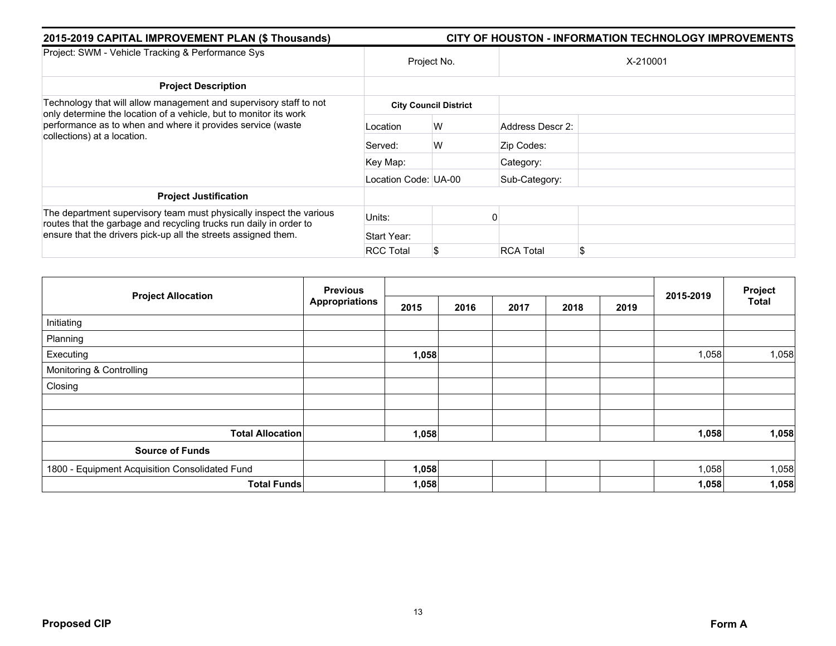| 2015-2019 CAPITAL IMPROVEMENT PLAN (\$ Thousands)                                                                                         | <b>CITY OF HOUSTON - INFORMATION TECHNOLOGY IMPROVEMENTS</b> |                              |                  |          |  |  |  |  |  |
|-------------------------------------------------------------------------------------------------------------------------------------------|--------------------------------------------------------------|------------------------------|------------------|----------|--|--|--|--|--|
| Project: SWM - Vehicle Tracking & Performance Sys                                                                                         |                                                              | Project No.                  |                  | X-210001 |  |  |  |  |  |
| <b>Project Description</b>                                                                                                                |                                                              |                              |                  |          |  |  |  |  |  |
| Technology that will allow management and supervisory staff to not<br>only determine the location of a vehicle, but to monitor its work   |                                                              | <b>City Council District</b> |                  |          |  |  |  |  |  |
| performance as to when and where it provides service (waste<br>collections) at a location.                                                | Location                                                     | W                            | Address Descr 2: |          |  |  |  |  |  |
|                                                                                                                                           | Served:                                                      | W                            | Zip Codes:       |          |  |  |  |  |  |
|                                                                                                                                           | Key Map:                                                     |                              | Category:        |          |  |  |  |  |  |
|                                                                                                                                           | Location Code: UA-00                                         |                              | Sub-Category:    |          |  |  |  |  |  |
| <b>Project Justification</b>                                                                                                              |                                                              |                              |                  |          |  |  |  |  |  |
| The department supervisory team must physically inspect the various<br>routes that the garbage and recycling trucks run daily in order to | Units:                                                       |                              |                  |          |  |  |  |  |  |
| ensure that the drivers pick-up all the streets assigned them.                                                                            | Start Year:                                                  |                              |                  |          |  |  |  |  |  |
|                                                                                                                                           | <b>RCC Total</b>                                             | \$                           | <b>RCA Total</b> | £.       |  |  |  |  |  |

|                                                | <b>Previous</b>       |       |      |      | Project |      |           |              |
|------------------------------------------------|-----------------------|-------|------|------|---------|------|-----------|--------------|
| <b>Project Allocation</b>                      | <b>Appropriations</b> | 2015  | 2016 | 2017 | 2018    | 2019 | 2015-2019 | <b>Total</b> |
| Initiating                                     |                       |       |      |      |         |      |           |              |
| Planning                                       |                       |       |      |      |         |      |           |              |
| Executing                                      |                       | 1,058 |      |      |         |      | 1,058     | 1,058        |
| Monitoring & Controlling                       |                       |       |      |      |         |      |           |              |
| Closing                                        |                       |       |      |      |         |      |           |              |
|                                                |                       |       |      |      |         |      |           |              |
|                                                |                       |       |      |      |         |      |           |              |
| <b>Total Allocation</b>                        |                       | 1,058 |      |      |         |      | 1,058     | 1,058        |
| <b>Source of Funds</b>                         |                       |       |      |      |         |      |           |              |
| 1800 - Equipment Acquisition Consolidated Fund |                       | 1,058 |      |      |         |      | 1,058     | 1,058        |
| <b>Total Funds</b>                             |                       | 1,058 |      |      |         |      | 1,058     | 1,058        |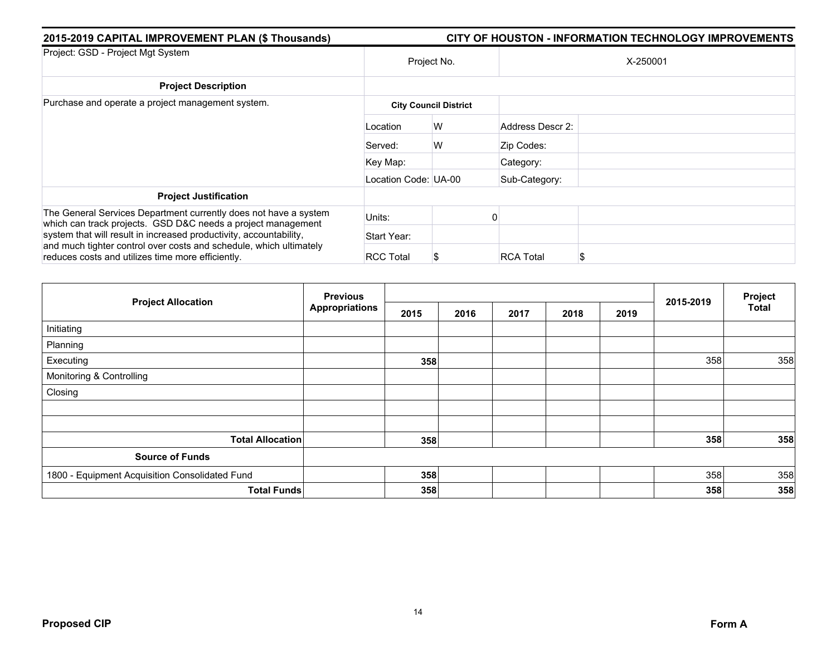| 2015-2019 CAPITAL IMPROVEMENT PLAN (\$ Thousands)                                                                                | CITY OF HOUSTON - INFORMATION TECHNOLOGY IMPROVEMENTS |                              |                  |   |  |  |  |  |
|----------------------------------------------------------------------------------------------------------------------------------|-------------------------------------------------------|------------------------------|------------------|---|--|--|--|--|
| Project: GSD - Project Mgt System                                                                                                | Project No.                                           |                              | X-250001         |   |  |  |  |  |
| <b>Project Description</b>                                                                                                       |                                                       |                              |                  |   |  |  |  |  |
| Purchase and operate a project management system.                                                                                |                                                       | <b>City Council District</b> |                  |   |  |  |  |  |
|                                                                                                                                  | Location                                              | W                            | Address Descr 2: |   |  |  |  |  |
|                                                                                                                                  | Served:                                               | W                            | Zip Codes:       |   |  |  |  |  |
|                                                                                                                                  | Key Map:                                              |                              | Category:        |   |  |  |  |  |
|                                                                                                                                  | Location Code: UA-00                                  |                              | Sub-Category:    |   |  |  |  |  |
| <b>Project Justification</b>                                                                                                     |                                                       |                              |                  |   |  |  |  |  |
| The General Services Department currently does not have a system<br>which can track projects. GSD D&C needs a project management | Units:                                                |                              |                  |   |  |  |  |  |
| system that will result in increased productivity, accountability,                                                               | Start Year:                                           |                              |                  |   |  |  |  |  |
| and much tighter control over costs and schedule, which ultimately<br>reduces costs and utilizes time more efficiently.          | <b>RCC Total</b>                                      | S                            | <b>RCA Total</b> | S |  |  |  |  |

| <b>Project Allocation</b>                      | <b>Previous</b>       |      |      |      | Project |      |           |              |
|------------------------------------------------|-----------------------|------|------|------|---------|------|-----------|--------------|
|                                                | <b>Appropriations</b> | 2015 | 2016 | 2017 | 2018    | 2019 | 2015-2019 | <b>Total</b> |
| Initiating                                     |                       |      |      |      |         |      |           |              |
| Planning                                       |                       |      |      |      |         |      |           |              |
| Executing                                      |                       | 358  |      |      |         |      | 358       | 358          |
| Monitoring & Controlling                       |                       |      |      |      |         |      |           |              |
| Closing                                        |                       |      |      |      |         |      |           |              |
|                                                |                       |      |      |      |         |      |           |              |
|                                                |                       |      |      |      |         |      |           |              |
| <b>Total Allocation</b>                        |                       | 358  |      |      |         |      | 358       | 358          |
| <b>Source of Funds</b>                         |                       |      |      |      |         |      |           |              |
| 1800 - Equipment Acquisition Consolidated Fund |                       | 358  |      |      |         |      | 358       | 358          |
| <b>Total Funds</b>                             |                       | 358  |      |      |         |      | 358       | 358          |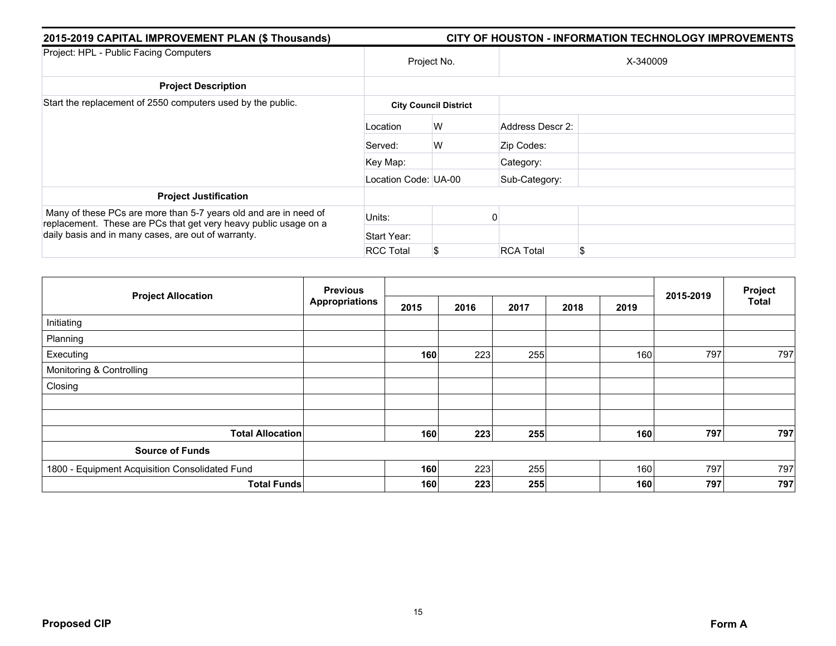| 2015-2019 CAPITAL IMPROVEMENT PLAN (\$ Thousands)                                                                                    | CITY OF HOUSTON - INFORMATION TECHNOLOGY IMPROVEMENTS |                              |                  |          |  |  |  |  |
|--------------------------------------------------------------------------------------------------------------------------------------|-------------------------------------------------------|------------------------------|------------------|----------|--|--|--|--|
| Project: HPL - Public Facing Computers                                                                                               | Project No.                                           |                              |                  | X-340009 |  |  |  |  |
| <b>Project Description</b>                                                                                                           |                                                       |                              |                  |          |  |  |  |  |
| Start the replacement of 2550 computers used by the public.                                                                          |                                                       | <b>City Council District</b> |                  |          |  |  |  |  |
|                                                                                                                                      | Location                                              | W                            | Address Descr 2: |          |  |  |  |  |
|                                                                                                                                      | Served:                                               | W                            | Zip Codes:       |          |  |  |  |  |
|                                                                                                                                      | Key Map:                                              |                              | Category:        |          |  |  |  |  |
|                                                                                                                                      | Location Code: UA-00                                  |                              | Sub-Category:    |          |  |  |  |  |
| <b>Project Justification</b>                                                                                                         |                                                       |                              |                  |          |  |  |  |  |
| Many of these PCs are more than 5-7 years old and are in need of<br>replacement. These are PCs that get very heavy public usage on a | Units:                                                |                              |                  |          |  |  |  |  |
| daily basis and in many cases, are out of warranty.                                                                                  | Start Year:                                           |                              |                  |          |  |  |  |  |
|                                                                                                                                      | <b>RCC Total</b>                                      | \$                           | <b>RCA Total</b> | \$       |  |  |  |  |

|                                                | <b>Previous</b> |      |      |      |      |      |           | Project      |
|------------------------------------------------|-----------------|------|------|------|------|------|-----------|--------------|
| <b>Project Allocation</b>                      | Appropriations  | 2015 | 2016 | 2017 | 2018 | 2019 | 2015-2019 | <b>Total</b> |
| Initiating                                     |                 |      |      |      |      |      |           |              |
| Planning                                       |                 |      |      |      |      |      |           |              |
| Executing                                      |                 | 160  | 223  | 255  |      | 160  | 797       | 797          |
| Monitoring & Controlling                       |                 |      |      |      |      |      |           |              |
| Closing                                        |                 |      |      |      |      |      |           |              |
|                                                |                 |      |      |      |      |      |           |              |
|                                                |                 |      |      |      |      |      |           |              |
| <b>Total Allocation</b>                        |                 | 160  | 223  | 255  |      | 160  | 797       | 797          |
| <b>Source of Funds</b>                         |                 |      |      |      |      |      |           |              |
| 1800 - Equipment Acquisition Consolidated Fund |                 | 160  | 223  | 255  |      | 160  | 797       | 797          |
| <b>Total Funds</b>                             |                 | 160  | 223  | 255  |      | 160  | 797       | 797          |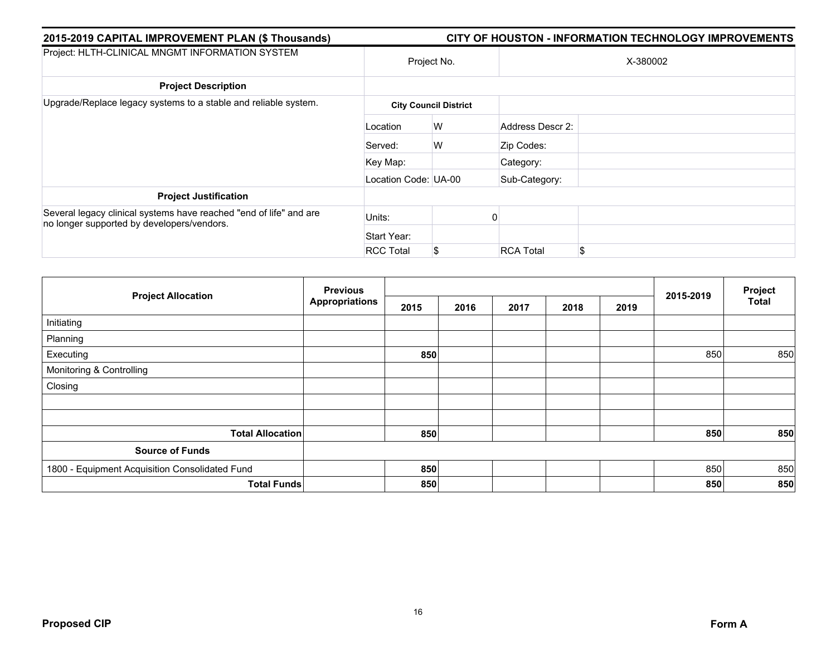| 2015-2019 CAPITAL IMPROVEMENT PLAN (\$ Thousands)                                                                | <b>CITY OF HOUSTON - INFORMATION TECHNOLOGY IMPROVEMENTS</b> |                              |                       |  |  |  |  |  |  |
|------------------------------------------------------------------------------------------------------------------|--------------------------------------------------------------|------------------------------|-----------------------|--|--|--|--|--|--|
| Project: HLTH-CLINICAL MNGMT INFORMATION SYSTEM                                                                  |                                                              | Project No.                  | X-380002              |  |  |  |  |  |  |
| <b>Project Description</b>                                                                                       |                                                              |                              |                       |  |  |  |  |  |  |
| Upgrade/Replace legacy systems to a stable and reliable system.                                                  |                                                              | <b>City Council District</b> |                       |  |  |  |  |  |  |
|                                                                                                                  | Location                                                     | W                            | Address Descr 2:      |  |  |  |  |  |  |
|                                                                                                                  | Served:                                                      | W                            | Zip Codes:            |  |  |  |  |  |  |
|                                                                                                                  | Key Map:                                                     |                              | Category:             |  |  |  |  |  |  |
|                                                                                                                  | Location Code: UA-00                                         |                              | Sub-Category:         |  |  |  |  |  |  |
| <b>Project Justification</b>                                                                                     |                                                              |                              |                       |  |  |  |  |  |  |
| Several legacy clinical systems have reached "end of life" and are<br>no longer supported by developers/vendors. | Units:                                                       |                              | 0                     |  |  |  |  |  |  |
|                                                                                                                  | Start Year:                                                  |                              |                       |  |  |  |  |  |  |
|                                                                                                                  | <b>RCC Total</b>                                             | \$                           | <b>RCA Total</b><br>S |  |  |  |  |  |  |

| <b>Project Allocation</b>                      | <b>Previous</b>       |      |      |      | Project |      |           |              |
|------------------------------------------------|-----------------------|------|------|------|---------|------|-----------|--------------|
|                                                | <b>Appropriations</b> | 2015 | 2016 | 2017 | 2018    | 2019 | 2015-2019 | <b>Total</b> |
| Initiating                                     |                       |      |      |      |         |      |           |              |
| Planning                                       |                       |      |      |      |         |      |           |              |
| Executing                                      |                       | 850  |      |      |         |      | 850       | 850          |
| Monitoring & Controlling                       |                       |      |      |      |         |      |           |              |
| Closing                                        |                       |      |      |      |         |      |           |              |
|                                                |                       |      |      |      |         |      |           |              |
|                                                |                       |      |      |      |         |      |           |              |
| <b>Total Allocation</b>                        |                       | 850  |      |      |         |      | 850       | 850          |
| <b>Source of Funds</b>                         |                       |      |      |      |         |      |           |              |
| 1800 - Equipment Acquisition Consolidated Fund |                       | 850  |      |      |         |      | 850       | 850          |
| <b>Total Funds</b>                             |                       | 850  |      |      |         |      | 850       | 850          |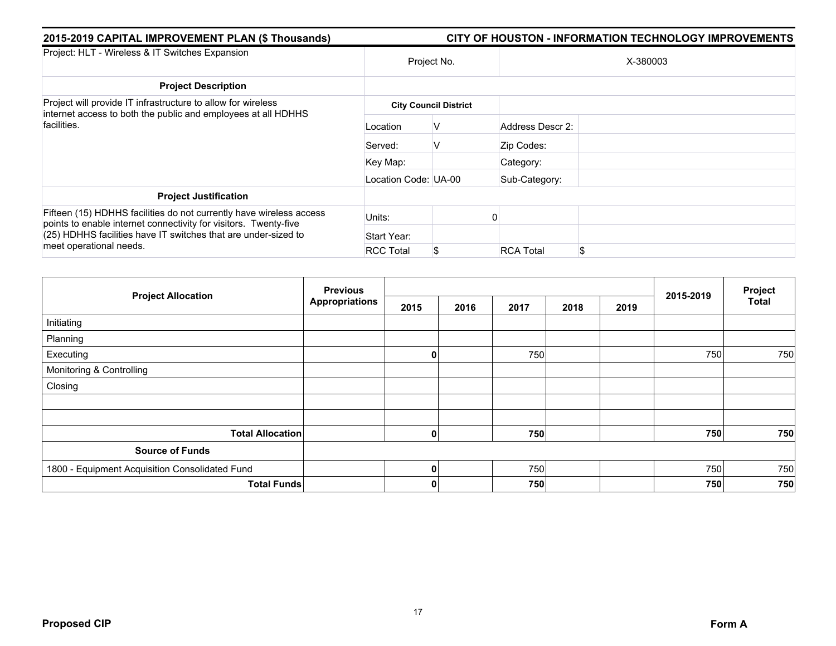| 2015-2019 CAPITAL IMPROVEMENT PLAN (\$ Thousands)                                                                                            | <b>CITY OF HOUSTON - INFORMATION TECHNOLOGY IMPROVEMENTS</b> |                              |                  |     |  |  |  |  |  |
|----------------------------------------------------------------------------------------------------------------------------------------------|--------------------------------------------------------------|------------------------------|------------------|-----|--|--|--|--|--|
| Project: HLT - Wireless & IT Switches Expansion                                                                                              |                                                              | Project No.                  | X-380003         |     |  |  |  |  |  |
| <b>Project Description</b>                                                                                                                   |                                                              |                              |                  |     |  |  |  |  |  |
| Project will provide IT infrastructure to allow for wireless<br>internet access to both the public and employees at all HDHHS<br>facilities. |                                                              | <b>City Council District</b> |                  |     |  |  |  |  |  |
|                                                                                                                                              | Location                                                     | V                            | Address Descr 2: |     |  |  |  |  |  |
|                                                                                                                                              | Served:                                                      | V                            | Zip Codes:       |     |  |  |  |  |  |
|                                                                                                                                              | Key Map:                                                     |                              | Category:        |     |  |  |  |  |  |
|                                                                                                                                              | Location Code: UA-00                                         |                              | Sub-Category:    |     |  |  |  |  |  |
| <b>Project Justification</b>                                                                                                                 |                                                              |                              |                  |     |  |  |  |  |  |
| Fifteen (15) HDHHS facilities do not currently have wireless access<br>points to enable internet connectivity for visitors. Twenty-five      | Units:                                                       |                              |                  |     |  |  |  |  |  |
| (25) HDHHS facilities have IT switches that are under-sized to<br>meet operational needs.                                                    | Start Year:                                                  |                              |                  |     |  |  |  |  |  |
|                                                                                                                                              | <b>RCC Total</b>                                             | \$                           | <b>RCA Total</b> | \$. |  |  |  |  |  |

|                                                | <b>Previous</b>       |      |      |      |      |      |           | Project      |
|------------------------------------------------|-----------------------|------|------|------|------|------|-----------|--------------|
| <b>Project Allocation</b>                      | <b>Appropriations</b> | 2015 | 2016 | 2017 | 2018 | 2019 | 2015-2019 | <b>Total</b> |
| Initiating                                     |                       |      |      |      |      |      |           |              |
| Planning                                       |                       |      |      |      |      |      |           |              |
| Executing                                      |                       | 0    |      | 750  |      |      | 750       | 750          |
| Monitoring & Controlling                       |                       |      |      |      |      |      |           |              |
| Closing                                        |                       |      |      |      |      |      |           |              |
|                                                |                       |      |      |      |      |      |           |              |
|                                                |                       |      |      |      |      |      |           |              |
| <b>Total Allocation</b>                        |                       | 0    |      | 750  |      |      | 750       | 750          |
| <b>Source of Funds</b>                         |                       |      |      |      |      |      |           |              |
| 1800 - Equipment Acquisition Consolidated Fund |                       | 0    |      | 750  |      |      | 750       | 750          |
| <b>Total Funds</b>                             |                       | 0    |      | 750  |      |      | 750       | 750          |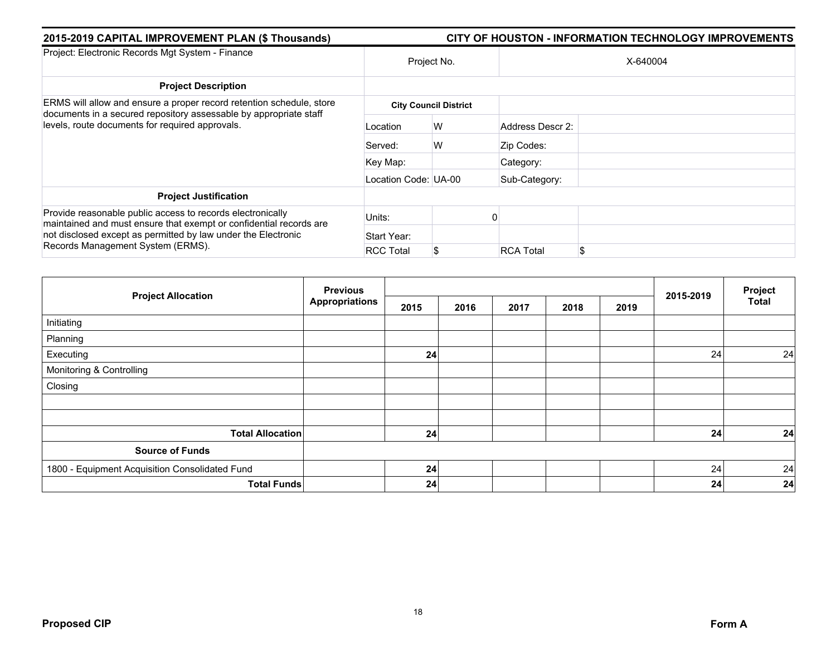| 2015-2019 CAPITAL IMPROVEMENT PLAN (\$ Thousands)                                                                                                                                                                                      | <b>CITY OF HOUSTON - INFORMATION TECHNOLOGY IMPROVEMENTS</b> |                              |                  |          |  |  |  |
|----------------------------------------------------------------------------------------------------------------------------------------------------------------------------------------------------------------------------------------|--------------------------------------------------------------|------------------------------|------------------|----------|--|--|--|
| Project: Electronic Records Mgt System - Finance                                                                                                                                                                                       | Project No.                                                  |                              |                  | X-640004 |  |  |  |
| <b>Project Description</b>                                                                                                                                                                                                             |                                                              |                              |                  |          |  |  |  |
| ERMS will allow and ensure a proper record retention schedule, store<br>documents in a secured repository assessable by appropriate staff<br>levels, route documents for required approvals.                                           |                                                              | <b>City Council District</b> |                  |          |  |  |  |
|                                                                                                                                                                                                                                        | Location                                                     | W                            | Address Descr 2: |          |  |  |  |
|                                                                                                                                                                                                                                        | Served:                                                      | W                            | Zip Codes:       |          |  |  |  |
|                                                                                                                                                                                                                                        | Key Map:                                                     |                              | Category:        |          |  |  |  |
|                                                                                                                                                                                                                                        | Location Code: UA-00                                         |                              | Sub-Category:    |          |  |  |  |
| <b>Project Justification</b>                                                                                                                                                                                                           |                                                              |                              |                  |          |  |  |  |
| Provide reasonable public access to records electronically<br>maintained and must ensure that exempt or confidential records are<br>not disclosed except as permitted by law under the Electronic<br>Records Management System (ERMS). | Units:                                                       |                              |                  |          |  |  |  |
|                                                                                                                                                                                                                                        | Start Year:                                                  |                              |                  |          |  |  |  |
|                                                                                                                                                                                                                                        | <b>RCC Total</b>                                             | \$                           | <b>RCA Total</b> |          |  |  |  |

| <b>Project Allocation</b>                      | <b>Previous</b><br><b>Appropriations</b> |      |      |      | 2015-2019 | Project |    |       |
|------------------------------------------------|------------------------------------------|------|------|------|-----------|---------|----|-------|
|                                                |                                          | 2015 | 2016 | 2017 | 2018      | 2019    |    | Total |
| Initiating                                     |                                          |      |      |      |           |         |    |       |
| Planning                                       |                                          |      |      |      |           |         |    |       |
| Executing                                      |                                          | 24   |      |      |           |         | 24 | 24    |
| Monitoring & Controlling                       |                                          |      |      |      |           |         |    |       |
| Closing                                        |                                          |      |      |      |           |         |    |       |
|                                                |                                          |      |      |      |           |         |    |       |
|                                                |                                          |      |      |      |           |         |    |       |
| <b>Total Allocation</b>                        |                                          | 24   |      |      |           |         | 24 | 24    |
| <b>Source of Funds</b>                         |                                          |      |      |      |           |         |    |       |
| 1800 - Equipment Acquisition Consolidated Fund |                                          | 24   |      |      |           |         | 24 | 24    |
| <b>Total Funds</b>                             |                                          | 24   |      |      |           |         | 24 | 24    |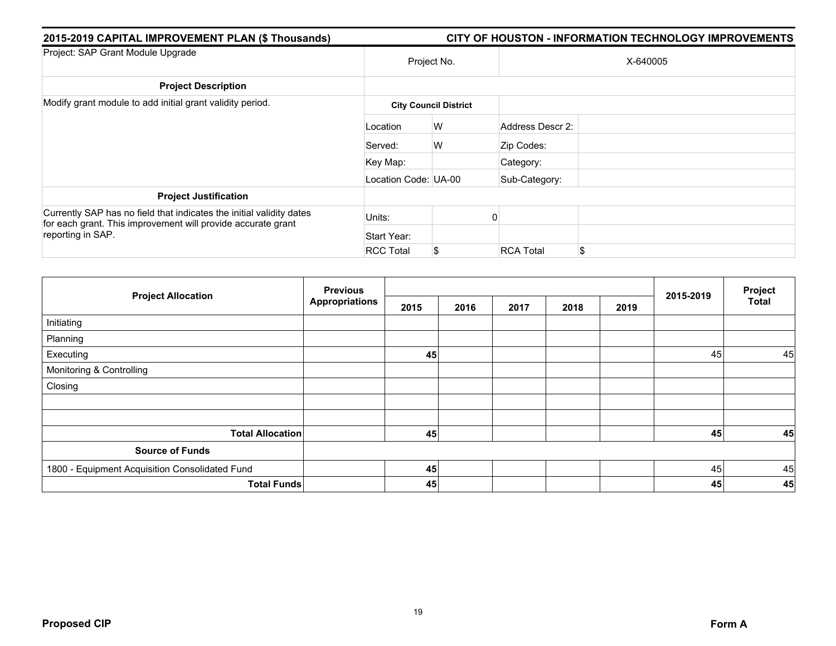| 2015-2019 CAPITAL IMPROVEMENT PLAN (\$ Thousands)                                                                                    | CITY OF HOUSTON - INFORMATION TECHNOLOGY IMPROVEMENTS |                              |                  |     |  |  |
|--------------------------------------------------------------------------------------------------------------------------------------|-------------------------------------------------------|------------------------------|------------------|-----|--|--|
| Project: SAP Grant Module Upgrade                                                                                                    | Project No.                                           |                              | X-640005         |     |  |  |
| <b>Project Description</b>                                                                                                           |                                                       |                              |                  |     |  |  |
| Modify grant module to add initial grant validity period.                                                                            |                                                       | <b>City Council District</b> |                  |     |  |  |
|                                                                                                                                      | Location                                              | W                            | Address Descr 2: |     |  |  |
|                                                                                                                                      | Served:                                               | W                            | Zip Codes:       |     |  |  |
|                                                                                                                                      | Key Map:                                              |                              | Category:        |     |  |  |
|                                                                                                                                      | Location Code: UA-00                                  |                              | Sub-Category:    |     |  |  |
| <b>Project Justification</b>                                                                                                         |                                                       |                              |                  |     |  |  |
| Currently SAP has no field that indicates the initial validity dates<br>for each grant. This improvement will provide accurate grant | Units:                                                |                              |                  |     |  |  |
| reporting in SAP.                                                                                                                    | Start Year:                                           |                              |                  |     |  |  |
|                                                                                                                                      | <b>RCC Total</b>                                      | \$                           | <b>RCA Total</b> | \$. |  |  |

|                                                | <b>Previous</b>       |      |      |      |      |      | Project   |              |
|------------------------------------------------|-----------------------|------|------|------|------|------|-----------|--------------|
| <b>Project Allocation</b>                      | <b>Appropriations</b> | 2015 | 2016 | 2017 | 2018 | 2019 | 2015-2019 | <b>Total</b> |
| Initiating                                     |                       |      |      |      |      |      |           |              |
| Planning                                       |                       |      |      |      |      |      |           |              |
| Executing                                      |                       | 45   |      |      |      |      | 45        | 45           |
| Monitoring & Controlling                       |                       |      |      |      |      |      |           |              |
| Closing                                        |                       |      |      |      |      |      |           |              |
|                                                |                       |      |      |      |      |      |           |              |
|                                                |                       |      |      |      |      |      |           |              |
| <b>Total Allocation</b>                        |                       | 45   |      |      |      |      | 45        | 45           |
| <b>Source of Funds</b>                         |                       |      |      |      |      |      |           |              |
| 1800 - Equipment Acquisition Consolidated Fund |                       | 45   |      |      |      |      | 45        | 45           |
| <b>Total Funds</b>                             |                       | 45   |      |      |      |      | 45        | 45           |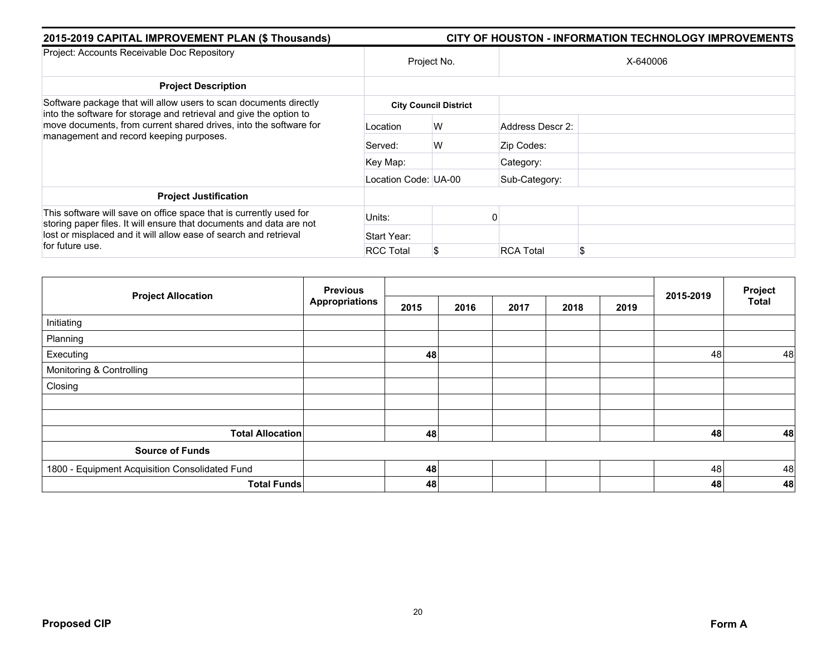| 2015-2019 CAPITAL IMPROVEMENT PLAN (\$ Thousands)                                                                                                                                                                                | CITY OF HOUSTON - INFORMATION TECHNOLOGY IMPROVEMENTS |                              |                  |          |  |  |  |  |
|----------------------------------------------------------------------------------------------------------------------------------------------------------------------------------------------------------------------------------|-------------------------------------------------------|------------------------------|------------------|----------|--|--|--|--|
| Project: Accounts Receivable Doc Repository                                                                                                                                                                                      | Project No.                                           |                              |                  | X-640006 |  |  |  |  |
| <b>Project Description</b>                                                                                                                                                                                                       |                                                       |                              |                  |          |  |  |  |  |
| Software package that will allow users to scan documents directly                                                                                                                                                                |                                                       | <b>City Council District</b> |                  |          |  |  |  |  |
| into the software for storage and retrieval and give the option to<br>move documents, from current shared drives, into the software for<br>management and record keeping purposes.                                               | Location                                              | W                            | Address Descr 2: |          |  |  |  |  |
|                                                                                                                                                                                                                                  | Served:                                               | W                            | Zip Codes:       |          |  |  |  |  |
|                                                                                                                                                                                                                                  | Key Map:                                              |                              | Category:        |          |  |  |  |  |
|                                                                                                                                                                                                                                  | Location Code: UA-00                                  |                              | Sub-Category:    |          |  |  |  |  |
| <b>Project Justification</b>                                                                                                                                                                                                     |                                                       |                              |                  |          |  |  |  |  |
| This software will save on office space that is currently used for<br>storing paper files. It will ensure that documents and data are not<br>lost or misplaced and it will allow ease of search and retrieval<br>for future use. | Units:                                                |                              |                  |          |  |  |  |  |
|                                                                                                                                                                                                                                  | Start Year:                                           |                              |                  |          |  |  |  |  |
|                                                                                                                                                                                                                                  | <b>RCC Total</b>                                      | S                            | <b>RCA Total</b> | \$       |  |  |  |  |

| <b>Project Allocation</b>                      | <b>Previous</b>       |      |      |      |      |      | Project   |              |
|------------------------------------------------|-----------------------|------|------|------|------|------|-----------|--------------|
|                                                | <b>Appropriations</b> | 2015 | 2016 | 2017 | 2018 | 2019 | 2015-2019 | <b>Total</b> |
| Initiating                                     |                       |      |      |      |      |      |           |              |
| Planning                                       |                       |      |      |      |      |      |           |              |
| Executing                                      |                       | 48   |      |      |      |      | 48        | 48           |
| Monitoring & Controlling                       |                       |      |      |      |      |      |           |              |
| Closing                                        |                       |      |      |      |      |      |           |              |
|                                                |                       |      |      |      |      |      |           |              |
|                                                |                       |      |      |      |      |      |           |              |
| <b>Total Allocation</b>                        |                       | 48   |      |      |      |      | 48        | 48           |
| <b>Source of Funds</b>                         |                       |      |      |      |      |      |           |              |
| 1800 - Equipment Acquisition Consolidated Fund |                       | 48   |      |      |      |      | 48        | 48           |
|                                                | <b>Total Funds</b>    | 48   |      |      |      |      | 48        | 48           |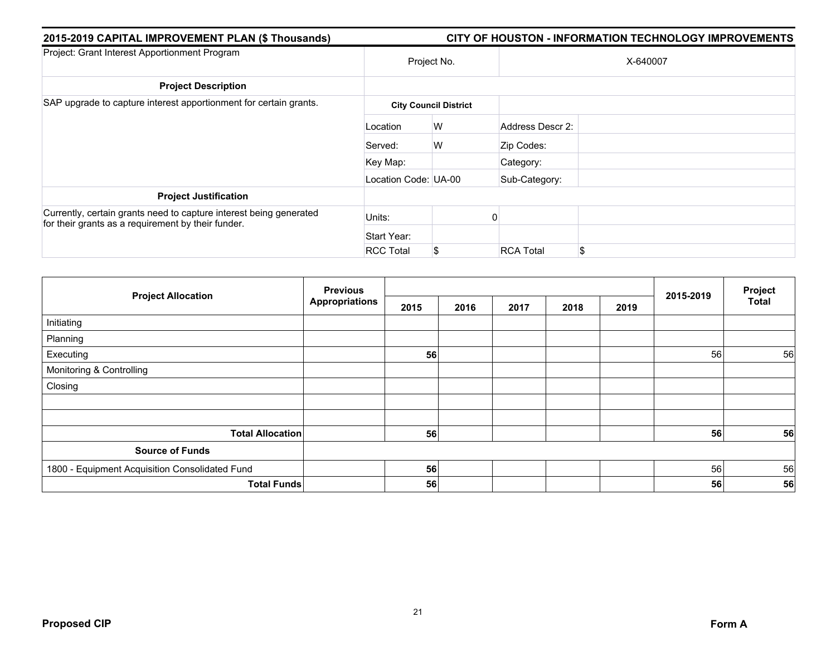| 2015-2019 CAPITAL IMPROVEMENT PLAN (\$ Thousands)                                                                        | <b>CITY OF HOUSTON - INFORMATION TECHNOLOGY IMPROVEMENTS</b> |                              |                  |          |  |  |  |  |
|--------------------------------------------------------------------------------------------------------------------------|--------------------------------------------------------------|------------------------------|------------------|----------|--|--|--|--|
| Project: Grant Interest Apportionment Program                                                                            | Project No.                                                  |                              |                  | X-640007 |  |  |  |  |
| <b>Project Description</b>                                                                                               |                                                              |                              |                  |          |  |  |  |  |
| SAP upgrade to capture interest apportionment for certain grants.                                                        |                                                              | <b>City Council District</b> |                  |          |  |  |  |  |
|                                                                                                                          | Location                                                     | W                            | Address Descr 2: |          |  |  |  |  |
|                                                                                                                          | Served:                                                      | W                            | Zip Codes:       |          |  |  |  |  |
|                                                                                                                          | Key Map:                                                     |                              | Category:        |          |  |  |  |  |
|                                                                                                                          | Location Code: UA-00                                         |                              | Sub-Category:    |          |  |  |  |  |
| <b>Project Justification</b>                                                                                             |                                                              |                              |                  |          |  |  |  |  |
| Currently, certain grants need to capture interest being generated<br>for their grants as a requirement by their funder. | Units:                                                       |                              |                  |          |  |  |  |  |
|                                                                                                                          | Start Year:                                                  |                              |                  |          |  |  |  |  |
|                                                                                                                          | <b>RCC Total</b>                                             | \$                           | <b>RCA Total</b> | S        |  |  |  |  |

| <b>Project Allocation</b>                      | <b>Previous</b>       |      |      |      |      |      | Project   |              |
|------------------------------------------------|-----------------------|------|------|------|------|------|-----------|--------------|
|                                                | <b>Appropriations</b> | 2015 | 2016 | 2017 | 2018 | 2019 | 2015-2019 | <b>Total</b> |
| Initiating                                     |                       |      |      |      |      |      |           |              |
| Planning                                       |                       |      |      |      |      |      |           |              |
| Executing                                      |                       | 56   |      |      |      |      | 56        | 56           |
| Monitoring & Controlling                       |                       |      |      |      |      |      |           |              |
| Closing                                        |                       |      |      |      |      |      |           |              |
|                                                |                       |      |      |      |      |      |           |              |
|                                                |                       |      |      |      |      |      |           |              |
| <b>Total Allocation</b>                        |                       | 56   |      |      |      |      | 56        | 56           |
| <b>Source of Funds</b>                         |                       |      |      |      |      |      |           |              |
| 1800 - Equipment Acquisition Consolidated Fund |                       | 56   |      |      |      |      | 56        | 56           |
| <b>Total Funds</b>                             |                       | 56   |      |      |      |      | 56        | 56           |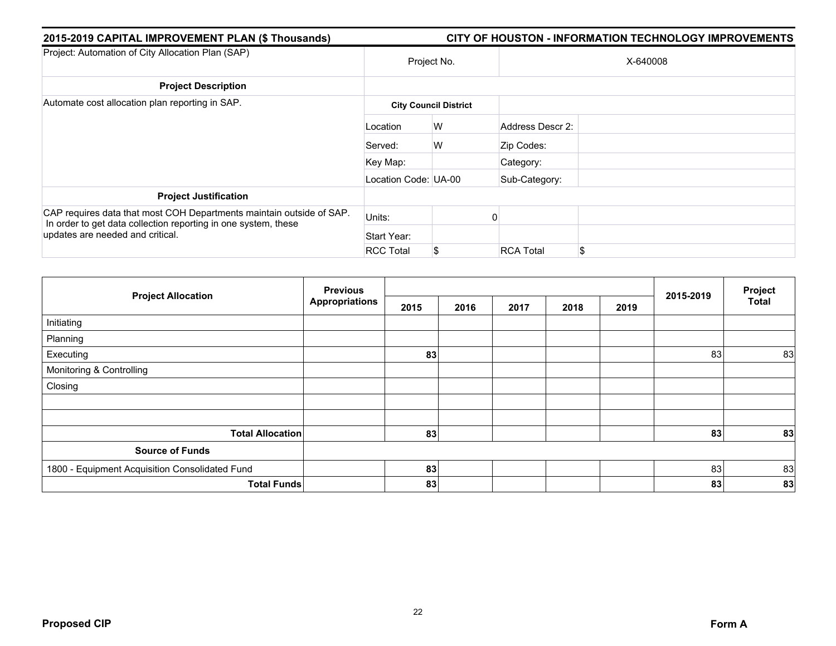| 2015-2019 CAPITAL IMPROVEMENT PLAN (\$ Thousands)                                                                                      | CITY OF HOUSTON - INFORMATION TECHNOLOGY IMPROVEMENTS |                              |                  |    |  |  |  |  |
|----------------------------------------------------------------------------------------------------------------------------------------|-------------------------------------------------------|------------------------------|------------------|----|--|--|--|--|
| Project: Automation of City Allocation Plan (SAP)                                                                                      | Project No.                                           |                              | X-640008         |    |  |  |  |  |
| <b>Project Description</b>                                                                                                             |                                                       |                              |                  |    |  |  |  |  |
| Automate cost allocation plan reporting in SAP.                                                                                        |                                                       | <b>City Council District</b> |                  |    |  |  |  |  |
|                                                                                                                                        | Location                                              | W                            | Address Descr 2: |    |  |  |  |  |
|                                                                                                                                        | Served:                                               | W                            | Zip Codes:       |    |  |  |  |  |
|                                                                                                                                        | Key Map:                                              |                              | Category:        |    |  |  |  |  |
|                                                                                                                                        | Location Code: UA-00                                  |                              | Sub-Category:    |    |  |  |  |  |
| <b>Project Justification</b>                                                                                                           |                                                       |                              |                  |    |  |  |  |  |
| CAP requires data that most COH Departments maintain outside of SAP.<br>In order to get data collection reporting in one system, these | Units:                                                |                              |                  |    |  |  |  |  |
| updates are needed and critical.                                                                                                       | Start Year:                                           |                              |                  |    |  |  |  |  |
|                                                                                                                                        | <b>RCC Total</b>                                      | \$                           | <b>RCA Total</b> | \$ |  |  |  |  |

| <b>Project Allocation</b>                      | <b>Previous</b>       |      |      |      |      |      | 2015-2019 | Project<br><b>Total</b> |
|------------------------------------------------|-----------------------|------|------|------|------|------|-----------|-------------------------|
|                                                | <b>Appropriations</b> | 2015 | 2016 | 2017 | 2018 | 2019 |           |                         |
| Initiating                                     |                       |      |      |      |      |      |           |                         |
| Planning                                       |                       |      |      |      |      |      |           |                         |
| Executing                                      |                       | 83   |      |      |      |      | 83        | 83                      |
| Monitoring & Controlling                       |                       |      |      |      |      |      |           |                         |
| Closing                                        |                       |      |      |      |      |      |           |                         |
|                                                |                       |      |      |      |      |      |           |                         |
|                                                |                       |      |      |      |      |      |           |                         |
| <b>Total Allocation</b>                        |                       | 83   |      |      |      |      | 83        | 83                      |
| <b>Source of Funds</b>                         |                       |      |      |      |      |      |           |                         |
| 1800 - Equipment Acquisition Consolidated Fund |                       | 83   |      |      |      |      | 83        | 83                      |
| <b>Total Funds</b>                             |                       | 83   |      |      |      |      | 83        | 83                      |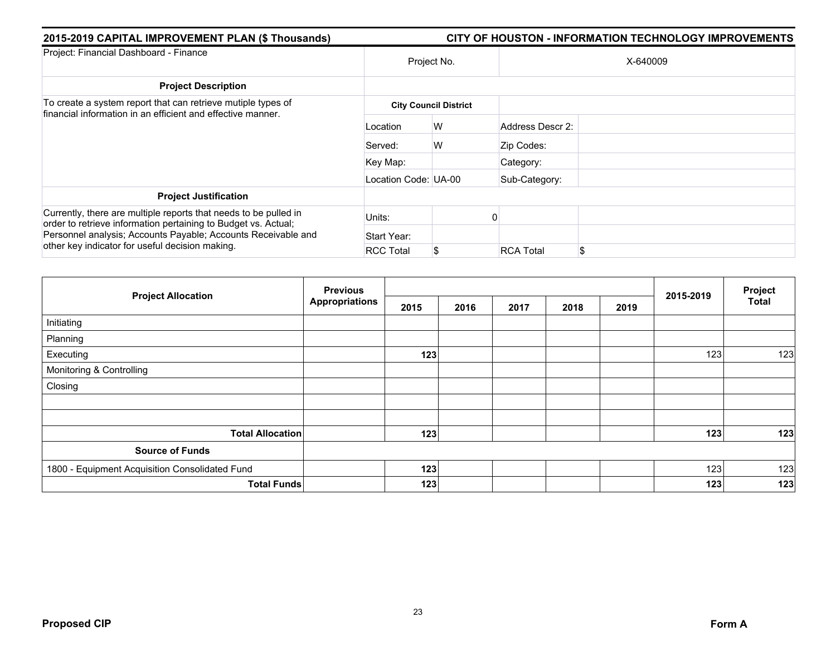| 2015-2019 CAPITAL IMPROVEMENT PLAN (\$ Thousands)                                                                                  | CITY OF HOUSTON - INFORMATION TECHNOLOGY IMPROVEMENTS |                              |                  |    |  |  |  |
|------------------------------------------------------------------------------------------------------------------------------------|-------------------------------------------------------|------------------------------|------------------|----|--|--|--|
| Project: Financial Dashboard - Finance                                                                                             | Project No.                                           |                              | X-640009         |    |  |  |  |
| <b>Project Description</b>                                                                                                         |                                                       |                              |                  |    |  |  |  |
| To create a system report that can retrieve mutiple types of<br>financial information in an efficient and effective manner.        |                                                       | <b>City Council District</b> |                  |    |  |  |  |
|                                                                                                                                    | Location                                              | W                            | Address Descr 2: |    |  |  |  |
|                                                                                                                                    | Served:                                               | W                            | Zip Codes:       |    |  |  |  |
|                                                                                                                                    | Key Map:                                              |                              | Category:        |    |  |  |  |
|                                                                                                                                    | Location Code: UA-00                                  |                              | Sub-Category:    |    |  |  |  |
| <b>Project Justification</b>                                                                                                       |                                                       |                              |                  |    |  |  |  |
| Currently, there are multiple reports that needs to be pulled in<br>order to retrieve information pertaining to Budget vs. Actual; | Units:                                                |                              |                  |    |  |  |  |
| Personnel analysis; Accounts Payable; Accounts Receivable and<br>other key indicator for useful decision making.                   | Start Year:                                           |                              |                  |    |  |  |  |
|                                                                                                                                    | <b>RCC Total</b>                                      | \$                           | <b>RCA Total</b> | \$ |  |  |  |

|                                                | <b>Previous</b>       |      |      |      | Project |      |           |              |
|------------------------------------------------|-----------------------|------|------|------|---------|------|-----------|--------------|
| <b>Project Allocation</b>                      | <b>Appropriations</b> | 2015 | 2016 | 2017 | 2018    | 2019 | 2015-2019 | <b>Total</b> |
| Initiating                                     |                       |      |      |      |         |      |           |              |
| Planning                                       |                       |      |      |      |         |      |           |              |
| Executing                                      |                       | 123  |      |      |         |      | 123       | 123          |
| Monitoring & Controlling                       |                       |      |      |      |         |      |           |              |
| Closing                                        |                       |      |      |      |         |      |           |              |
|                                                |                       |      |      |      |         |      |           |              |
|                                                |                       |      |      |      |         |      |           |              |
| <b>Total Allocation</b>                        |                       | 123  |      |      |         |      | 123       | 123          |
| <b>Source of Funds</b>                         |                       |      |      |      |         |      |           |              |
| 1800 - Equipment Acquisition Consolidated Fund |                       | 123  |      |      |         |      | 123       | 123          |
| <b>Total Funds</b>                             |                       | 123  |      |      |         |      | 123       | 123          |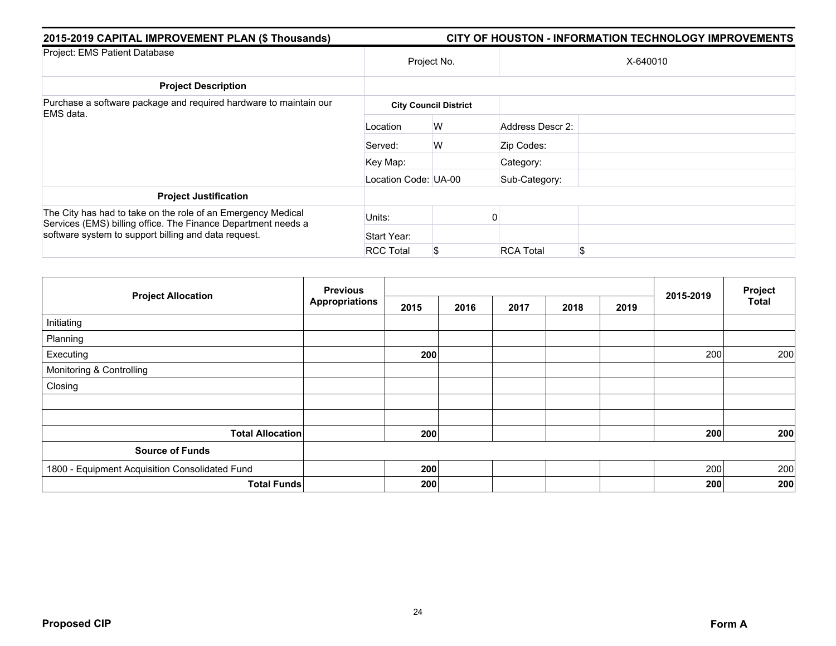| 2015-2019 CAPITAL IMPROVEMENT PLAN (\$ Thousands)<br><b>CITY OF HOUSTON - INFORMATION TECHNOLOGY IMPROVEMENTS</b>                                                                     |                      |                              |                  |          |  |  |  |  |
|---------------------------------------------------------------------------------------------------------------------------------------------------------------------------------------|----------------------|------------------------------|------------------|----------|--|--|--|--|
| Project: EMS Patient Database                                                                                                                                                         | Project No.          |                              |                  | X-640010 |  |  |  |  |
| <b>Project Description</b>                                                                                                                                                            |                      |                              |                  |          |  |  |  |  |
| Purchase a software package and required hardware to maintain our<br>EMS data.                                                                                                        |                      | <b>City Council District</b> |                  |          |  |  |  |  |
|                                                                                                                                                                                       | Location             | W                            | Address Descr 2: |          |  |  |  |  |
|                                                                                                                                                                                       | Served:              | W                            | Zip Codes:       |          |  |  |  |  |
|                                                                                                                                                                                       | Key Map:             |                              | Category:        |          |  |  |  |  |
|                                                                                                                                                                                       | Location Code: UA-00 |                              | Sub-Category:    |          |  |  |  |  |
| <b>Project Justification</b>                                                                                                                                                          |                      |                              |                  |          |  |  |  |  |
| The City has had to take on the role of an Emergency Medical<br>Services (EMS) billing office. The Finance Department needs a<br>software system to support billing and data request. | Units:               |                              |                  |          |  |  |  |  |
|                                                                                                                                                                                       | Start Year:          |                              |                  |          |  |  |  |  |
|                                                                                                                                                                                       | <b>RCC Total</b>     | \$                           | <b>RCA Total</b> | \$.      |  |  |  |  |

|                                                | <b>Previous</b>       |      |      |      |      |      |           | Project      |
|------------------------------------------------|-----------------------|------|------|------|------|------|-----------|--------------|
| <b>Project Allocation</b>                      | <b>Appropriations</b> | 2015 | 2016 | 2017 | 2018 | 2019 | 2015-2019 | <b>Total</b> |
| Initiating                                     |                       |      |      |      |      |      |           |              |
| Planning                                       |                       |      |      |      |      |      |           |              |
| Executing                                      |                       | 200  |      |      |      |      | 200       | 200          |
| Monitoring & Controlling                       |                       |      |      |      |      |      |           |              |
| Closing                                        |                       |      |      |      |      |      |           |              |
|                                                |                       |      |      |      |      |      |           |              |
|                                                |                       |      |      |      |      |      |           |              |
| <b>Total Allocation</b>                        |                       | 200  |      |      |      |      | 200       | 200          |
| <b>Source of Funds</b>                         |                       |      |      |      |      |      |           |              |
| 1800 - Equipment Acquisition Consolidated Fund |                       | 200  |      |      |      |      | 200       | 200          |
| <b>Total Funds</b>                             |                       | 200  |      |      |      |      | 200       | 200          |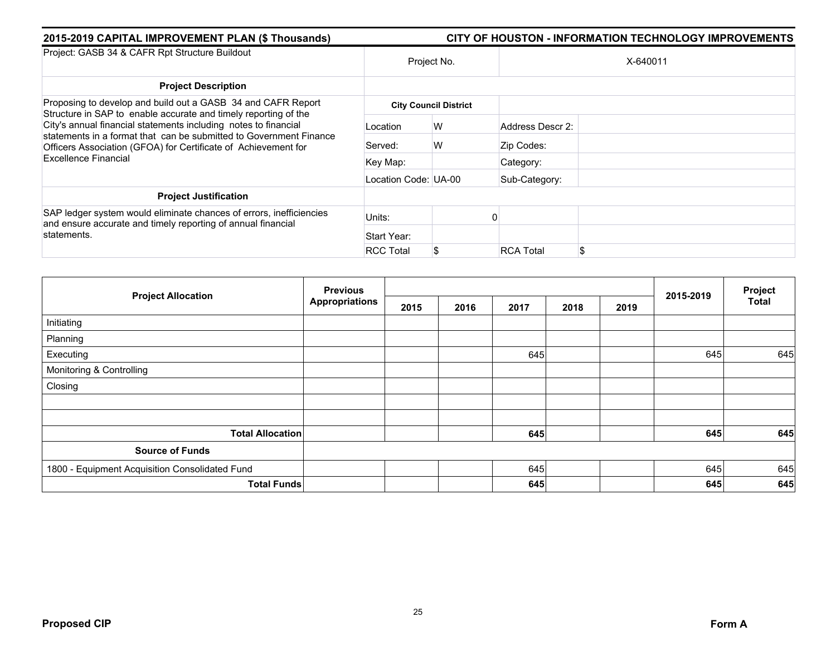| 2015-2019 CAPITAL IMPROVEMENT PLAN (\$ Thousands)                                                                                                                                                                                                                                                                                          | <b>CITY OF HOUSTON - INFORMATION TECHNOLOGY IMPROVEMENTS</b> |                              |                  |          |  |  |  |
|--------------------------------------------------------------------------------------------------------------------------------------------------------------------------------------------------------------------------------------------------------------------------------------------------------------------------------------------|--------------------------------------------------------------|------------------------------|------------------|----------|--|--|--|
| Project: GASB 34 & CAFR Rpt Structure Buildout                                                                                                                                                                                                                                                                                             | Project No.                                                  |                              |                  | X-640011 |  |  |  |
| <b>Project Description</b>                                                                                                                                                                                                                                                                                                                 |                                                              |                              |                  |          |  |  |  |
| Proposing to develop and build out a GASB 34 and CAFR Report<br>Structure in SAP to enable accurate and timely reporting of the<br>City's annual financial statements including notes to financial<br>statements in a format that can be submitted to Government Finance<br>Officers Association (GFOA) for Certificate of Achievement for |                                                              | <b>City Council District</b> |                  |          |  |  |  |
|                                                                                                                                                                                                                                                                                                                                            | Location                                                     | W                            | Address Descr 2: |          |  |  |  |
|                                                                                                                                                                                                                                                                                                                                            | Served:                                                      | W                            | Zip Codes:       |          |  |  |  |
| <b>Excellence Financial</b>                                                                                                                                                                                                                                                                                                                | Key Map:                                                     |                              | Category:        |          |  |  |  |
|                                                                                                                                                                                                                                                                                                                                            | Location Code: UA-00                                         |                              | Sub-Category:    |          |  |  |  |
| <b>Project Justification</b>                                                                                                                                                                                                                                                                                                               |                                                              |                              |                  |          |  |  |  |
| SAP ledger system would eliminate chances of errors, inefficiencies<br>and ensure accurate and timely reporting of annual financial                                                                                                                                                                                                        | Units:                                                       |                              |                  |          |  |  |  |
| statements.                                                                                                                                                                                                                                                                                                                                | Start Year:                                                  |                              |                  |          |  |  |  |
|                                                                                                                                                                                                                                                                                                                                            | <b>RCC Total</b>                                             | \$                           | <b>RCA Total</b> |          |  |  |  |

| <b>Project Allocation</b>                      | <b>Previous</b>       |      |      |      | Project |      |           |              |
|------------------------------------------------|-----------------------|------|------|------|---------|------|-----------|--------------|
|                                                | <b>Appropriations</b> | 2015 | 2016 | 2017 | 2018    | 2019 | 2015-2019 | <b>Total</b> |
| Initiating                                     |                       |      |      |      |         |      |           |              |
| Planning                                       |                       |      |      |      |         |      |           |              |
| Executing                                      |                       |      |      | 645  |         |      | 645       | 645          |
| Monitoring & Controlling                       |                       |      |      |      |         |      |           |              |
| Closing                                        |                       |      |      |      |         |      |           |              |
|                                                |                       |      |      |      |         |      |           |              |
|                                                |                       |      |      |      |         |      |           |              |
| <b>Total Allocation</b>                        |                       |      |      | 645  |         |      | 645       | 645          |
| <b>Source of Funds</b>                         |                       |      |      |      |         |      |           |              |
| 1800 - Equipment Acquisition Consolidated Fund |                       |      |      | 645  |         |      | 645       | 645          |
| <b>Total Funds</b>                             |                       |      |      | 645  |         |      | 645       | 645          |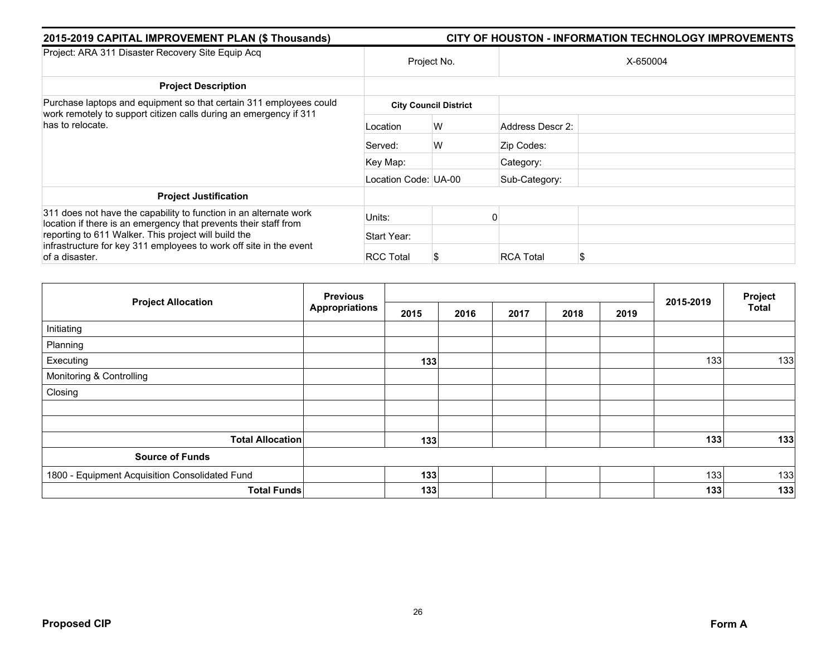| 2015-2019 CAPITAL IMPROVEMENT PLAN (\$ Thousands)                                                                                                           | CITY OF HOUSTON - INFORMATION TECHNOLOGY IMPROVEMENTS |                              |                  |  |  |  |  |  |
|-------------------------------------------------------------------------------------------------------------------------------------------------------------|-------------------------------------------------------|------------------------------|------------------|--|--|--|--|--|
| Project: ARA 311 Disaster Recovery Site Equip Acq                                                                                                           |                                                       | Project No.                  | X-650004         |  |  |  |  |  |
| <b>Project Description</b>                                                                                                                                  |                                                       |                              |                  |  |  |  |  |  |
| Purchase laptops and equipment so that certain 311 employees could<br>work remotely to support citizen calls during an emergency if 311<br>has to relocate. |                                                       | <b>City Council District</b> |                  |  |  |  |  |  |
|                                                                                                                                                             | Location                                              | W                            | Address Descr 2: |  |  |  |  |  |
|                                                                                                                                                             | Served:                                               | W                            | Zip Codes:       |  |  |  |  |  |
|                                                                                                                                                             | Key Map:                                              |                              | Category:        |  |  |  |  |  |
|                                                                                                                                                             | Location Code: UA-00                                  |                              | Sub-Category:    |  |  |  |  |  |
| <b>Project Justification</b>                                                                                                                                |                                                       |                              |                  |  |  |  |  |  |
| 311 does not have the capability to function in an alternate work<br>location if there is an emergency that prevents their staff from                       | Units:                                                |                              |                  |  |  |  |  |  |
| reporting to 611 Walker. This project will build the<br>infrastructure for key 311 employees to work off site in the event<br>of a disaster.                | Start Year:                                           |                              |                  |  |  |  |  |  |
|                                                                                                                                                             | <b>RCC Total</b>                                      | S                            | <b>RCA Total</b> |  |  |  |  |  |

| <b>Project Allocation</b>                      | <b>Previous</b>       |      |      |      | 2015-2019 | Project |     |              |
|------------------------------------------------|-----------------------|------|------|------|-----------|---------|-----|--------------|
|                                                | <b>Appropriations</b> | 2015 | 2016 | 2017 | 2018      | 2019    |     | <b>Total</b> |
| Initiating                                     |                       |      |      |      |           |         |     |              |
| Planning                                       |                       |      |      |      |           |         |     |              |
| Executing                                      |                       | 133  |      |      |           |         | 133 | 133          |
| Monitoring & Controlling                       |                       |      |      |      |           |         |     |              |
| Closing                                        |                       |      |      |      |           |         |     |              |
|                                                |                       |      |      |      |           |         |     |              |
|                                                |                       |      |      |      |           |         |     |              |
| <b>Total Allocation</b>                        |                       | 133  |      |      |           |         | 133 | 133          |
| <b>Source of Funds</b>                         |                       |      |      |      |           |         |     |              |
| 1800 - Equipment Acquisition Consolidated Fund |                       | 133  |      |      |           |         | 133 | 133          |
| <b>Total Funds</b>                             |                       | 133  |      |      |           |         | 133 | 133          |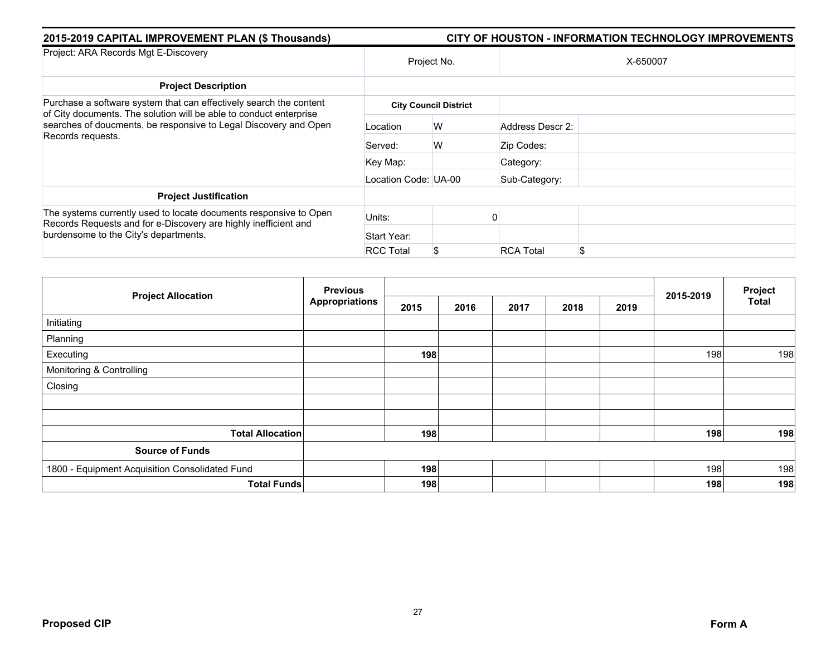| 2015-2019 CAPITAL IMPROVEMENT PLAN (\$ Thousands)                                                                                                                                                                                 | CITY OF HOUSTON - INFORMATION TECHNOLOGY IMPROVEMENTS |                              |                  |          |  |  |  |  |
|-----------------------------------------------------------------------------------------------------------------------------------------------------------------------------------------------------------------------------------|-------------------------------------------------------|------------------------------|------------------|----------|--|--|--|--|
| Project: ARA Records Mgt E-Discovery                                                                                                                                                                                              | Project No.                                           |                              |                  | X-650007 |  |  |  |  |
| <b>Project Description</b>                                                                                                                                                                                                        |                                                       |                              |                  |          |  |  |  |  |
| Purchase a software system that can effectively search the content<br>of City documents. The solution will be able to conduct enterprise<br>searches of doucments, be responsive to Legal Discovery and Open<br>Records requests. |                                                       | <b>City Council District</b> |                  |          |  |  |  |  |
|                                                                                                                                                                                                                                   | Location                                              | W                            | Address Descr 2: |          |  |  |  |  |
|                                                                                                                                                                                                                                   | Served:                                               | W                            | Zip Codes:       |          |  |  |  |  |
|                                                                                                                                                                                                                                   | Key Map:                                              |                              | Category:        |          |  |  |  |  |
|                                                                                                                                                                                                                                   | Location Code: UA-00                                  |                              | Sub-Category:    |          |  |  |  |  |
| <b>Project Justification</b>                                                                                                                                                                                                      |                                                       |                              |                  |          |  |  |  |  |
| The systems currently used to locate documents responsive to Open<br>Records Requests and for e-Discovery are highly inefficient and<br>burdensome to the City's departments.                                                     | Units:                                                |                              |                  |          |  |  |  |  |
|                                                                                                                                                                                                                                   | Start Year:                                           |                              |                  |          |  |  |  |  |
|                                                                                                                                                                                                                                   | <b>RCC Total</b>                                      | \$                           | <b>RCA Total</b> | \$.      |  |  |  |  |

| <b>Project Allocation</b>                      | <b>Previous</b>       |      |      |      | Project |      |           |              |
|------------------------------------------------|-----------------------|------|------|------|---------|------|-----------|--------------|
|                                                | <b>Appropriations</b> | 2015 | 2016 | 2017 | 2018    | 2019 | 2015-2019 | <b>Total</b> |
| Initiating                                     |                       |      |      |      |         |      |           |              |
| Planning                                       |                       |      |      |      |         |      |           |              |
| Executing                                      |                       | 198  |      |      |         |      | 198       | 198          |
| Monitoring & Controlling                       |                       |      |      |      |         |      |           |              |
| Closing                                        |                       |      |      |      |         |      |           |              |
|                                                |                       |      |      |      |         |      |           |              |
|                                                |                       |      |      |      |         |      |           |              |
| <b>Total Allocation</b>                        |                       | 198  |      |      |         |      | 198       | 198          |
| <b>Source of Funds</b>                         |                       |      |      |      |         |      |           |              |
| 1800 - Equipment Acquisition Consolidated Fund |                       | 198  |      |      |         |      | 198       | 198          |
| <b>Total Funds</b>                             |                       | 198  |      |      |         |      | 198       | 198          |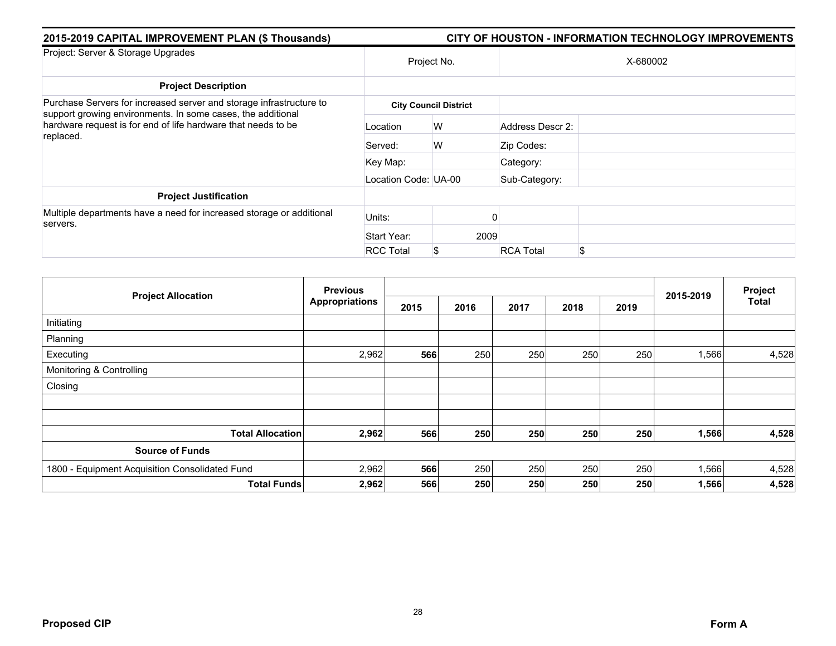| 2015-2019 CAPITAL IMPROVEMENT PLAN (\$ Thousands)                                                                                         | CITY OF HOUSTON - INFORMATION TECHNOLOGY IMPROVEMENTS |                              |                  |          |  |  |  |
|-------------------------------------------------------------------------------------------------------------------------------------------|-------------------------------------------------------|------------------------------|------------------|----------|--|--|--|
| Project: Server & Storage Upgrades                                                                                                        | Project No.                                           |                              |                  | X-680002 |  |  |  |
| <b>Project Description</b>                                                                                                                |                                                       |                              |                  |          |  |  |  |
| Purchase Servers for increased server and storage infrastructure to                                                                       |                                                       | <b>City Council District</b> |                  |          |  |  |  |
| support growing environments. In some cases, the additional<br>hardware request is for end of life hardware that needs to be<br>replaced. | Location                                              | W                            | Address Descr 2: |          |  |  |  |
|                                                                                                                                           | Served:                                               | W                            | Zip Codes:       |          |  |  |  |
|                                                                                                                                           | Key Map:                                              |                              | Category:        |          |  |  |  |
|                                                                                                                                           | Location Code: UA-00                                  |                              | Sub-Category:    |          |  |  |  |
| <b>Project Justification</b>                                                                                                              |                                                       |                              |                  |          |  |  |  |
| Multiple departments have a need for increased storage or additional<br>servers.                                                          | Units:                                                |                              |                  |          |  |  |  |
|                                                                                                                                           | Start Year:                                           | 2009                         |                  |          |  |  |  |
|                                                                                                                                           | <b>RCC Total</b>                                      | S.                           | <b>RCA Total</b> | \$       |  |  |  |

|                                                | <b>Previous</b>       |      |      |      |      |      |           | Project |
|------------------------------------------------|-----------------------|------|------|------|------|------|-----------|---------|
| <b>Project Allocation</b>                      | <b>Appropriations</b> | 2015 | 2016 | 2017 | 2018 | 2019 | 2015-2019 | Total   |
| Initiating                                     |                       |      |      |      |      |      |           |         |
| Planning                                       |                       |      |      |      |      |      |           |         |
| Executing                                      | 2,962                 | 566  | 250  | 250  | 250  | 250  | 1,566     | 4,528   |
| Monitoring & Controlling                       |                       |      |      |      |      |      |           |         |
| Closing                                        |                       |      |      |      |      |      |           |         |
|                                                |                       |      |      |      |      |      |           |         |
|                                                |                       |      |      |      |      |      |           |         |
| <b>Total Allocation</b>                        | 2,962                 | 566  | 250  | 250  | 250  | 250  | 1,566     | 4,528   |
| <b>Source of Funds</b>                         |                       |      |      |      |      |      |           |         |
| 1800 - Equipment Acquisition Consolidated Fund | 2,962                 | 566  | 250  | 250  | 250  | 250  | 1,566     | 4,528   |
| <b>Total Funds</b>                             | 2,962                 | 566  | 250  | 250  | 250  | 250  | 1,566     | 4,528   |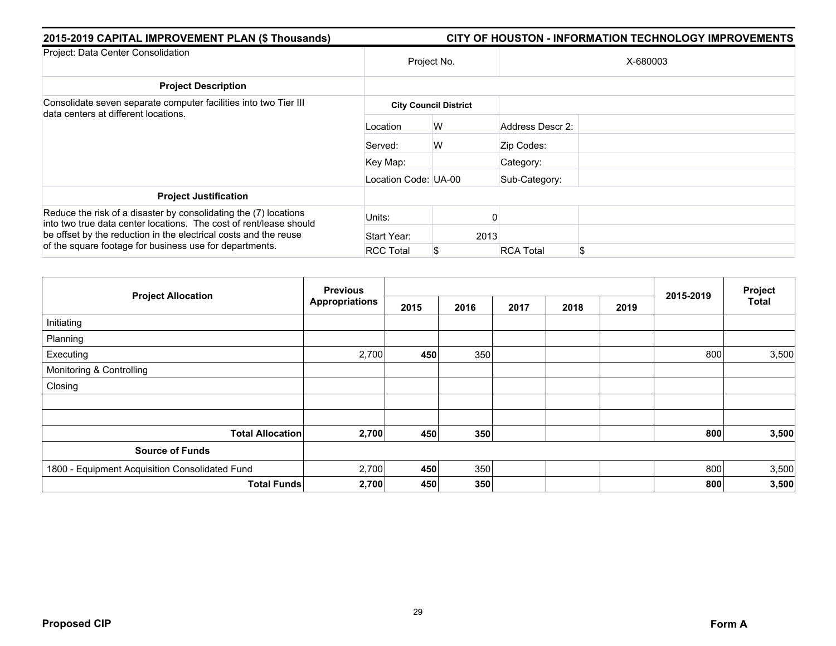| 2015-2019 CAPITAL IMPROVEMENT PLAN (\$ Thousands)                                                                                      | <b>CITY OF HOUSTON - INFORMATION TECHNOLOGY IMPROVEMENTS</b> |                              |                  |    |  |  |  |  |
|----------------------------------------------------------------------------------------------------------------------------------------|--------------------------------------------------------------|------------------------------|------------------|----|--|--|--|--|
| Project: Data Center Consolidation                                                                                                     | Project No.                                                  |                              | X-680003         |    |  |  |  |  |
| <b>Project Description</b>                                                                                                             |                                                              |                              |                  |    |  |  |  |  |
| Consolidate seven separate computer facilities into two Tier III<br>data centers at different locations.                               |                                                              | <b>City Council District</b> |                  |    |  |  |  |  |
|                                                                                                                                        | Location                                                     | W                            | Address Descr 2: |    |  |  |  |  |
|                                                                                                                                        | Served:                                                      | W                            | Zip Codes:       |    |  |  |  |  |
|                                                                                                                                        | Key Map:                                                     |                              | Category:        |    |  |  |  |  |
|                                                                                                                                        | Location Code: UA-00                                         |                              | Sub-Category:    |    |  |  |  |  |
| <b>Project Justification</b>                                                                                                           |                                                              |                              |                  |    |  |  |  |  |
| Reduce the risk of a disaster by consolidating the (7) locations<br>into two true data center locations. The cost of rent/lease should | Units:                                                       |                              |                  |    |  |  |  |  |
| be offset by the reduction in the electrical costs and the reuse<br>of the square footage for business use for departments.            | Start Year:                                                  | 2013                         |                  |    |  |  |  |  |
|                                                                                                                                        | <b>RCC Total</b>                                             | \$                           | <b>RCA Total</b> | \$ |  |  |  |  |

|                                                | <b>Previous</b>       |      |      |      |      |      |           | Project |
|------------------------------------------------|-----------------------|------|------|------|------|------|-----------|---------|
| <b>Project Allocation</b>                      | <b>Appropriations</b> | 2015 | 2016 | 2017 | 2018 | 2019 | 2015-2019 | Total   |
| Initiating                                     |                       |      |      |      |      |      |           |         |
| Planning                                       |                       |      |      |      |      |      |           |         |
| Executing                                      | 2,700                 | 450  | 350  |      |      |      | 800       | 3,500   |
| Monitoring & Controlling                       |                       |      |      |      |      |      |           |         |
| Closing                                        |                       |      |      |      |      |      |           |         |
|                                                |                       |      |      |      |      |      |           |         |
|                                                |                       |      |      |      |      |      |           |         |
| <b>Total Allocation</b>                        | 2,700                 | 450  | 350  |      |      |      | 800       | 3,500   |
| <b>Source of Funds</b>                         |                       |      |      |      |      |      |           |         |
| 1800 - Equipment Acquisition Consolidated Fund | 2,700                 | 450  | 350  |      |      |      | 800       | 3,500   |
| <b>Total Funds</b>                             | 2,700                 | 450  | 350  |      |      |      | 800       | 3,500   |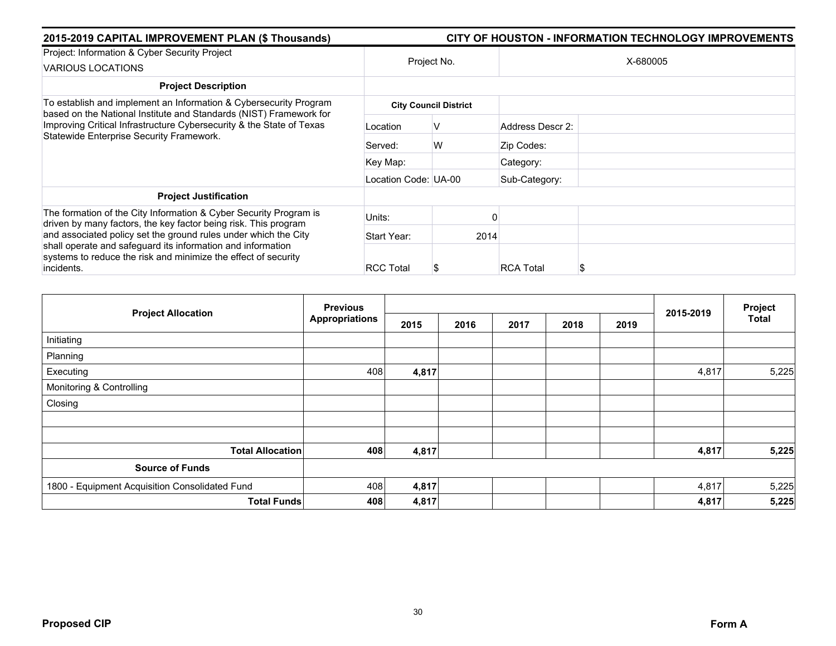| 2015-2019 CAPITAL IMPROVEMENT PLAN (\$ Thousands)                                                                                                                                                                                                           | <b>CITY OF HOUSTON - INFORMATION TECHNOLOGY IMPROVEMENTS</b> |                              |                  |  |  |  |  |
|-------------------------------------------------------------------------------------------------------------------------------------------------------------------------------------------------------------------------------------------------------------|--------------------------------------------------------------|------------------------------|------------------|--|--|--|--|
| Project: Information & Cyber Security Project                                                                                                                                                                                                               | Project No.                                                  |                              | X-680005         |  |  |  |  |
| <b>VARIOUS LOCATIONS</b>                                                                                                                                                                                                                                    |                                                              |                              |                  |  |  |  |  |
| <b>Project Description</b>                                                                                                                                                                                                                                  |                                                              |                              |                  |  |  |  |  |
| To establish and implement an Information & Cybersecurity Program<br>based on the National Institute and Standards (NIST) Framework for<br>Improving Critical Infrastructure Cybersecurity & the State of Texas<br>Statewide Enterprise Security Framework. |                                                              | <b>City Council District</b> |                  |  |  |  |  |
|                                                                                                                                                                                                                                                             | Location                                                     | V                            | Address Descr 2: |  |  |  |  |
|                                                                                                                                                                                                                                                             | Served:                                                      | W                            | Zip Codes:       |  |  |  |  |
|                                                                                                                                                                                                                                                             | Key Map:                                                     |                              | Category:        |  |  |  |  |
|                                                                                                                                                                                                                                                             | Location Code: UA-00                                         |                              | Sub-Category:    |  |  |  |  |
| <b>Project Justification</b>                                                                                                                                                                                                                                |                                                              |                              |                  |  |  |  |  |
| The formation of the City Information & Cyber Security Program is<br>driven by many factors, the key factor being risk. This program                                                                                                                        | Units:                                                       |                              |                  |  |  |  |  |
| and associated policy set the ground rules under which the City                                                                                                                                                                                             | Start Year:                                                  | 2014                         |                  |  |  |  |  |
| shall operate and safeguard its information and information<br>systems to reduce the risk and minimize the effect of security                                                                                                                               |                                                              |                              |                  |  |  |  |  |
| incidents.                                                                                                                                                                                                                                                  | <b>RCC Total</b>                                             | S                            | <b>RCA Total</b> |  |  |  |  |

|                                                | <b>Previous</b>       |       |      |      |      |      |           | Project      |
|------------------------------------------------|-----------------------|-------|------|------|------|------|-----------|--------------|
| <b>Project Allocation</b>                      | <b>Appropriations</b> | 2015  | 2016 | 2017 | 2018 | 2019 | 2015-2019 | <b>Total</b> |
| Initiating                                     |                       |       |      |      |      |      |           |              |
| Planning                                       |                       |       |      |      |      |      |           |              |
| Executing                                      | 408                   | 4,817 |      |      |      |      | 4,817     | 5,225        |
| Monitoring & Controlling                       |                       |       |      |      |      |      |           |              |
| Closing                                        |                       |       |      |      |      |      |           |              |
|                                                |                       |       |      |      |      |      |           |              |
|                                                |                       |       |      |      |      |      |           |              |
| <b>Total Allocation</b>                        | 408                   | 4,817 |      |      |      |      | 4,817     | 5,225        |
| <b>Source of Funds</b>                         |                       |       |      |      |      |      |           |              |
| 1800 - Equipment Acquisition Consolidated Fund | 408                   | 4,817 |      |      |      |      | 4,817     | 5,225        |
| <b>Total Funds</b>                             | 408                   | 4,817 |      |      |      |      | 4,817     | 5,225        |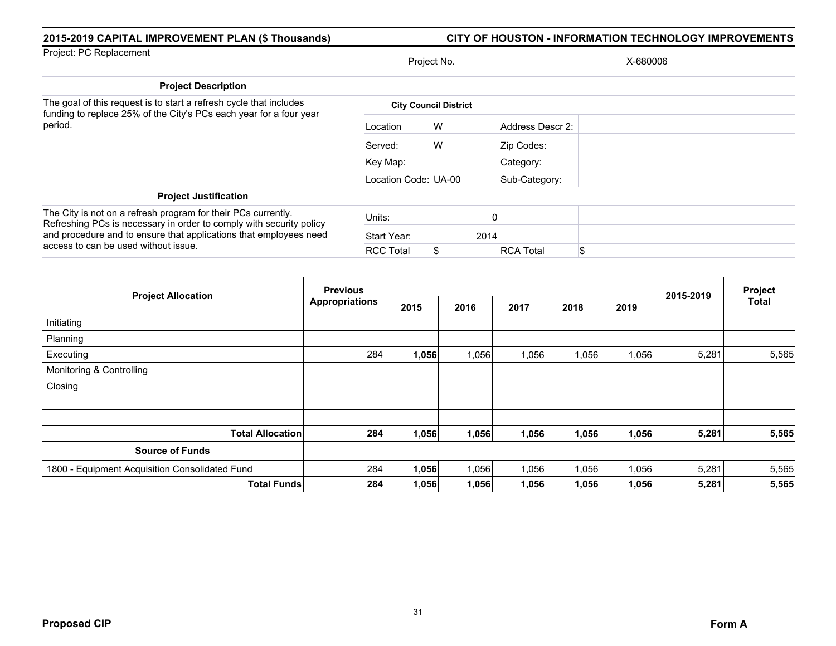| 2015-2019 CAPITAL IMPROVEMENT PLAN (\$ Thousands)                                                                                        | CITY OF HOUSTON - INFORMATION TECHNOLOGY IMPROVEMENTS |                              |                  |          |  |  |  |  |
|------------------------------------------------------------------------------------------------------------------------------------------|-------------------------------------------------------|------------------------------|------------------|----------|--|--|--|--|
| Project: PC Replacement                                                                                                                  |                                                       | Project No.                  |                  | X-680006 |  |  |  |  |
| <b>Project Description</b>                                                                                                               |                                                       |                              |                  |          |  |  |  |  |
| The goal of this request is to start a refresh cycle that includes<br>funding to replace 25% of the City's PCs each year for a four year |                                                       | <b>City Council District</b> |                  |          |  |  |  |  |
| period.                                                                                                                                  | Location                                              | W                            | Address Descr 2: |          |  |  |  |  |
|                                                                                                                                          | Served:                                               | W                            | Zip Codes:       |          |  |  |  |  |
|                                                                                                                                          | Key Map:                                              |                              | Category:        |          |  |  |  |  |
|                                                                                                                                          | Location Code: UA-00                                  |                              | Sub-Category:    |          |  |  |  |  |
| <b>Project Justification</b>                                                                                                             |                                                       |                              |                  |          |  |  |  |  |
| The City is not on a refresh program for their PCs currently.<br>Refreshing PCs is necessary in order to comply with security policy     | Units:                                                |                              |                  |          |  |  |  |  |
| and procedure and to ensure that applications that employees need<br>access to can be used without issue.                                | Start Year:                                           | 2014                         |                  |          |  |  |  |  |
|                                                                                                                                          | <b>RCC Total</b>                                      | S                            | <b>RCA Total</b> | \$       |  |  |  |  |

|                                                | <b>Previous</b>       |       |       |       |       |       |           | Project      |
|------------------------------------------------|-----------------------|-------|-------|-------|-------|-------|-----------|--------------|
| <b>Project Allocation</b>                      | <b>Appropriations</b> | 2015  | 2016  | 2017  | 2018  | 2019  | 2015-2019 | <b>Total</b> |
| Initiating                                     |                       |       |       |       |       |       |           |              |
| Planning                                       |                       |       |       |       |       |       |           |              |
| Executing                                      | 284                   | 1,056 | 1,056 | 1,056 | 1,056 | 1,056 | 5,281     | 5,565        |
| Monitoring & Controlling                       |                       |       |       |       |       |       |           |              |
| Closing                                        |                       |       |       |       |       |       |           |              |
|                                                |                       |       |       |       |       |       |           |              |
|                                                |                       |       |       |       |       |       |           |              |
| <b>Total Allocation</b>                        | 284                   | 1,056 | 1,056 | 1,056 | 1,056 | 1,056 | 5,281     | 5,565        |
| <b>Source of Funds</b>                         |                       |       |       |       |       |       |           |              |
| 1800 - Equipment Acquisition Consolidated Fund | 284                   | 1,056 | 1,056 | 1,056 | 1,056 | 1,056 | 5,281     | 5,565        |
| <b>Total Funds</b>                             | 284                   | 1,056 | 1,056 | 1,056 | 1,056 | 1,056 | 5,281     | 5,565        |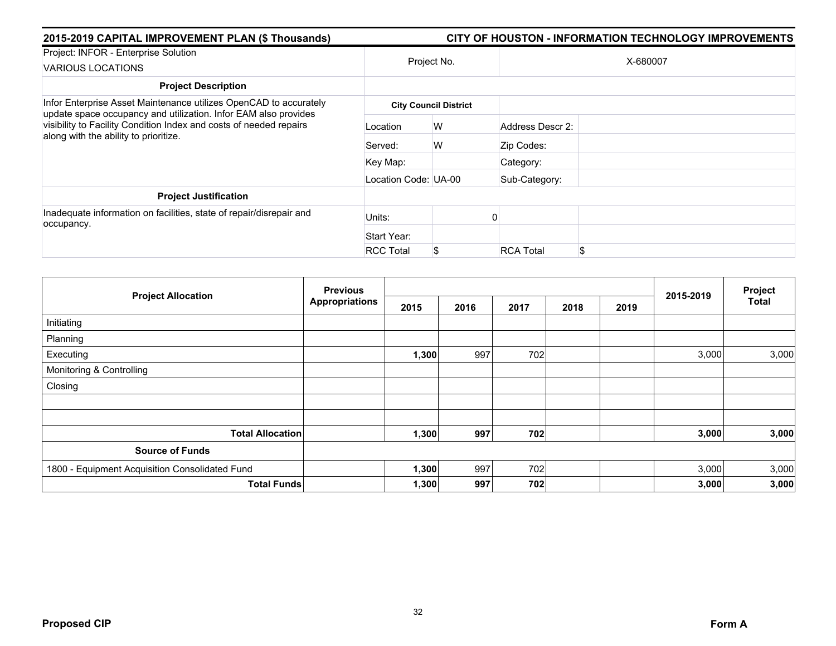| 2015-2019 CAPITAL IMPROVEMENT PLAN (\$ Thousands)                                                                                                                                                                                                   | <b>CITY OF HOUSTON - INFORMATION TECHNOLOGY IMPROVEMENTS</b> |                              |                  |          |  |  |  |  |
|-----------------------------------------------------------------------------------------------------------------------------------------------------------------------------------------------------------------------------------------------------|--------------------------------------------------------------|------------------------------|------------------|----------|--|--|--|--|
| Project: INFOR - Enterprise Solution<br><b>VARIOUS LOCATIONS</b>                                                                                                                                                                                    | Project No.                                                  |                              |                  | X-680007 |  |  |  |  |
| <b>Project Description</b>                                                                                                                                                                                                                          |                                                              |                              |                  |          |  |  |  |  |
| Infor Enterprise Asset Maintenance utilizes OpenCAD to accurately<br>update space occupancy and utilization. Infor EAM also provides<br>visibility to Facility Condition Index and costs of needed repairs<br>along with the ability to prioritize. |                                                              | <b>City Council District</b> |                  |          |  |  |  |  |
|                                                                                                                                                                                                                                                     | Location                                                     | W                            | Address Descr 2: |          |  |  |  |  |
|                                                                                                                                                                                                                                                     | Served:                                                      | W                            | Zip Codes:       |          |  |  |  |  |
|                                                                                                                                                                                                                                                     | Key Map:                                                     |                              | Category:        |          |  |  |  |  |
|                                                                                                                                                                                                                                                     | Location Code: UA-00                                         |                              | Sub-Category:    |          |  |  |  |  |
| <b>Project Justification</b>                                                                                                                                                                                                                        |                                                              |                              |                  |          |  |  |  |  |
| Inadequate information on facilities, state of repair/disrepair and<br>occupancy.                                                                                                                                                                   | Units:                                                       |                              |                  |          |  |  |  |  |
|                                                                                                                                                                                                                                                     | Start Year:                                                  |                              |                  |          |  |  |  |  |
|                                                                                                                                                                                                                                                     | <b>RCC Total</b>                                             | S.                           | <b>RCA Total</b> | \$       |  |  |  |  |

|                                                | <b>Previous</b><br><b>Appropriations</b> |       |      |      |      | Project |           |              |
|------------------------------------------------|------------------------------------------|-------|------|------|------|---------|-----------|--------------|
| <b>Project Allocation</b>                      |                                          | 2015  | 2016 | 2017 | 2018 | 2019    | 2015-2019 | <b>Total</b> |
| Initiating                                     |                                          |       |      |      |      |         |           |              |
| Planning                                       |                                          |       |      |      |      |         |           |              |
| Executing                                      |                                          | 1,300 | 997  | 702  |      |         | 3,000     | 3,000        |
| Monitoring & Controlling                       |                                          |       |      |      |      |         |           |              |
| Closing                                        |                                          |       |      |      |      |         |           |              |
|                                                |                                          |       |      |      |      |         |           |              |
|                                                |                                          |       |      |      |      |         |           |              |
| <b>Total Allocation</b>                        |                                          | 1,300 | 997  | 702  |      |         | 3,000     | 3,000        |
| <b>Source of Funds</b>                         |                                          |       |      |      |      |         |           |              |
| 1800 - Equipment Acquisition Consolidated Fund |                                          | 1,300 | 997  | 702  |      |         | 3,000     | 3,000        |
| <b>Total Funds</b>                             |                                          | 1,300 | 997  | 702  |      |         | 3,000     | 3,000        |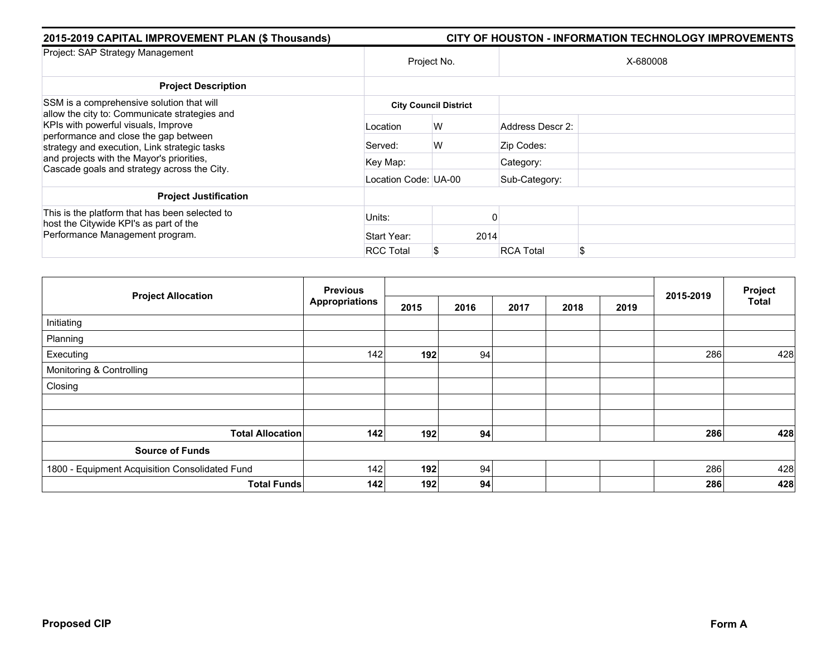| 2015-2019 CAPITAL IMPROVEMENT PLAN (\$ Thousands)                                                                            | <b>CITY OF HOUSTON - INFORMATION TECHNOLOGY IMPROVEMENTS</b> |                              |                  |          |  |  |  |  |
|------------------------------------------------------------------------------------------------------------------------------|--------------------------------------------------------------|------------------------------|------------------|----------|--|--|--|--|
| Project: SAP Strategy Management                                                                                             | Project No.                                                  |                              |                  | X-680008 |  |  |  |  |
| <b>Project Description</b>                                                                                                   |                                                              |                              |                  |          |  |  |  |  |
| SSM is a comprehensive solution that will<br>allow the city to: Communicate strategies and                                   |                                                              | <b>City Council District</b> |                  |          |  |  |  |  |
| KPIs with powerful visuals, Improve<br>performance and close the gap between<br>strategy and execution, Link strategic tasks | Location                                                     | W                            | Address Descr 2: |          |  |  |  |  |
|                                                                                                                              | Served:                                                      | W                            | Zip Codes:       |          |  |  |  |  |
| and projects with the Mayor's priorities,<br>Cascade goals and strategy across the City.                                     | Key Map:                                                     |                              | Category:        |          |  |  |  |  |
|                                                                                                                              | Location Code: UA-00                                         |                              | Sub-Category:    |          |  |  |  |  |
| <b>Project Justification</b>                                                                                                 |                                                              |                              |                  |          |  |  |  |  |
| This is the platform that has been selected to<br>host the Citywide KPI's as part of the                                     | Units:                                                       |                              |                  |          |  |  |  |  |
| Performance Management program.                                                                                              | Start Year:                                                  | 2014                         |                  |          |  |  |  |  |
|                                                                                                                              | <b>RCC Total</b>                                             | S                            | <b>RCA Total</b> |          |  |  |  |  |

|                                                | <b>Previous</b>       |      |      |      | 2015-2019 | Project |     |              |
|------------------------------------------------|-----------------------|------|------|------|-----------|---------|-----|--------------|
| <b>Project Allocation</b>                      | <b>Appropriations</b> | 2015 | 2016 | 2017 | 2018      | 2019    |     | <b>Total</b> |
| Initiating                                     |                       |      |      |      |           |         |     |              |
| Planning                                       |                       |      |      |      |           |         |     |              |
| Executing                                      | 142                   | 192  | 94   |      |           |         | 286 | 428          |
| Monitoring & Controlling                       |                       |      |      |      |           |         |     |              |
| Closing                                        |                       |      |      |      |           |         |     |              |
|                                                |                       |      |      |      |           |         |     |              |
|                                                |                       |      |      |      |           |         |     |              |
| <b>Total Allocation</b>                        | 142                   | 192  | 94   |      |           |         | 286 | 428          |
| <b>Source of Funds</b>                         |                       |      |      |      |           |         |     |              |
| 1800 - Equipment Acquisition Consolidated Fund | 142                   | 192  | 94   |      |           |         | 286 | 428          |
| <b>Total Funds</b>                             | 142                   | 192  | 94   |      |           |         | 286 | 428          |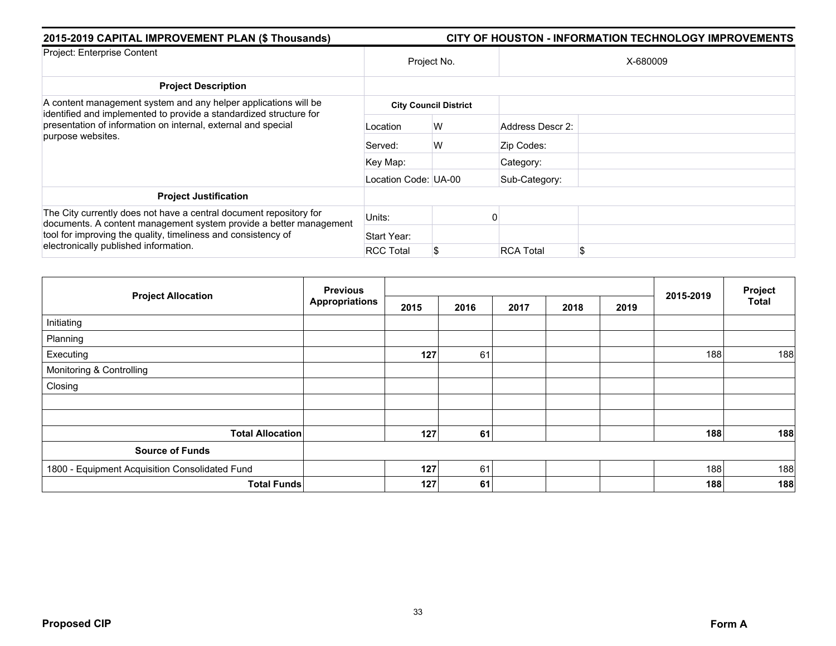| 2015-2019 CAPITAL IMPROVEMENT PLAN (\$ Thousands)                                                                                                                                                                                                  | <b>CITY OF HOUSTON - INFORMATION TECHNOLOGY IMPROVEMENTS</b> |                              |                  |          |  |  |  |  |
|----------------------------------------------------------------------------------------------------------------------------------------------------------------------------------------------------------------------------------------------------|--------------------------------------------------------------|------------------------------|------------------|----------|--|--|--|--|
| Project: Enterprise Content                                                                                                                                                                                                                        | Project No.                                                  |                              |                  | X-680009 |  |  |  |  |
| <b>Project Description</b>                                                                                                                                                                                                                         |                                                              |                              |                  |          |  |  |  |  |
| A content management system and any helper applications will be<br>identified and implemented to provide a standardized structure for                                                                                                              |                                                              | <b>City Council District</b> |                  |          |  |  |  |  |
| presentation of information on internal, external and special<br>purpose websites.                                                                                                                                                                 | Location                                                     | W                            | Address Descr 2: |          |  |  |  |  |
|                                                                                                                                                                                                                                                    | Served:                                                      | W                            | Zip Codes:       |          |  |  |  |  |
|                                                                                                                                                                                                                                                    | Key Map:                                                     |                              | Category:        |          |  |  |  |  |
|                                                                                                                                                                                                                                                    | Location Code: UA-00                                         |                              | Sub-Category:    |          |  |  |  |  |
| <b>Project Justification</b>                                                                                                                                                                                                                       |                                                              |                              |                  |          |  |  |  |  |
| The City currently does not have a central document repository for<br>documents. A content management system provide a better management<br>tool for improving the quality, timeliness and consistency of<br>electronically published information. | Units:                                                       |                              |                  |          |  |  |  |  |
|                                                                                                                                                                                                                                                    | Start Year:                                                  |                              |                  |          |  |  |  |  |
|                                                                                                                                                                                                                                                    | <b>RCC Total</b>                                             | S                            | <b>RCA Total</b> |          |  |  |  |  |

| <b>Project Allocation</b>                      | <b>Previous</b>       |      |      |      |      | Project |           |              |
|------------------------------------------------|-----------------------|------|------|------|------|---------|-----------|--------------|
|                                                | <b>Appropriations</b> | 2015 | 2016 | 2017 | 2018 | 2019    | 2015-2019 | <b>Total</b> |
| Initiating                                     |                       |      |      |      |      |         |           |              |
| Planning                                       |                       |      |      |      |      |         |           |              |
| Executing                                      |                       | 127  | 61   |      |      |         | 188       | 188          |
| Monitoring & Controlling                       |                       |      |      |      |      |         |           |              |
| Closing                                        |                       |      |      |      |      |         |           |              |
|                                                |                       |      |      |      |      |         |           |              |
|                                                |                       |      |      |      |      |         |           |              |
| <b>Total Allocation</b>                        |                       | 127  | 61   |      |      |         | 188       | 188          |
| <b>Source of Funds</b>                         |                       |      |      |      |      |         |           |              |
| 1800 - Equipment Acquisition Consolidated Fund |                       | 127  | 61   |      |      |         | 188       | 188          |
| <b>Total Funds</b>                             |                       | 127  | 61   |      |      |         | 188       | 188          |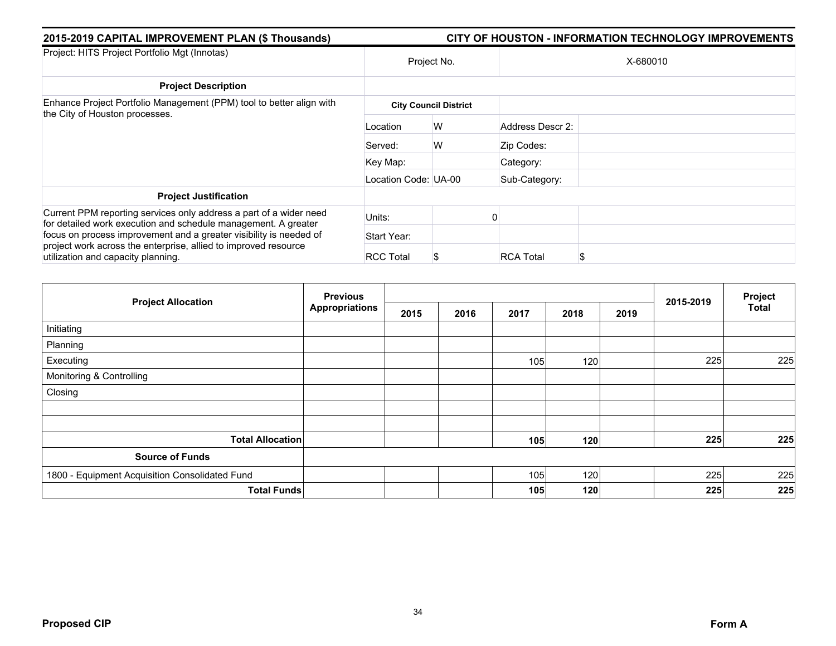| 2015-2019 CAPITAL IMPROVEMENT PLAN (\$ Thousands)                                                                                    | CITY OF HOUSTON - INFORMATION TECHNOLOGY IMPROVEMENTS |                              |                  |          |  |  |  |
|--------------------------------------------------------------------------------------------------------------------------------------|-------------------------------------------------------|------------------------------|------------------|----------|--|--|--|
| Project: HITS Project Portfolio Mgt (Innotas)                                                                                        | Project No.                                           |                              |                  | X-680010 |  |  |  |
| <b>Project Description</b>                                                                                                           |                                                       |                              |                  |          |  |  |  |
| Enhance Project Portfolio Management (PPM) tool to better align with                                                                 |                                                       | <b>City Council District</b> |                  |          |  |  |  |
| the City of Houston processes.                                                                                                       | Location                                              | W                            | Address Descr 2: |          |  |  |  |
|                                                                                                                                      | Served:                                               | W                            | Zip Codes:       |          |  |  |  |
|                                                                                                                                      | Key Map:                                              |                              | Category:        |          |  |  |  |
|                                                                                                                                      | Location Code: UA-00                                  |                              | Sub-Category:    |          |  |  |  |
| <b>Project Justification</b>                                                                                                         |                                                       |                              |                  |          |  |  |  |
| Current PPM reporting services only address a part of a wider need<br>for detailed work execution and schedule management. A greater | Units:                                                |                              |                  |          |  |  |  |
| focus on process improvement and a greater visibility is needed of                                                                   | Start Year:                                           |                              |                  |          |  |  |  |
| project work across the enterprise, allied to improved resource<br>utilization and capacity planning.                                | <b>RCC Total</b>                                      | S                            | <b>RCA Total</b> |          |  |  |  |

| <b>Project Allocation</b>                      | <b>Previous</b>       |      |      |      |      |      | Project   |              |
|------------------------------------------------|-----------------------|------|------|------|------|------|-----------|--------------|
|                                                | <b>Appropriations</b> | 2015 | 2016 | 2017 | 2018 | 2019 | 2015-2019 | <b>Total</b> |
| Initiating                                     |                       |      |      |      |      |      |           |              |
| Planning                                       |                       |      |      |      |      |      |           |              |
| Executing                                      |                       |      |      | 105  | 120  |      | 225       | 225          |
| Monitoring & Controlling                       |                       |      |      |      |      |      |           |              |
| Closing                                        |                       |      |      |      |      |      |           |              |
|                                                |                       |      |      |      |      |      |           |              |
|                                                |                       |      |      |      |      |      |           |              |
| <b>Total Allocation</b>                        |                       |      |      | 105  | 120  |      | 225       | 225          |
| <b>Source of Funds</b>                         |                       |      |      |      |      |      |           |              |
| 1800 - Equipment Acquisition Consolidated Fund |                       |      |      | 105  | 120  |      | 225       | 225          |
| <b>Total Funds</b>                             |                       |      |      | 105  | 120  |      | 225       | 225          |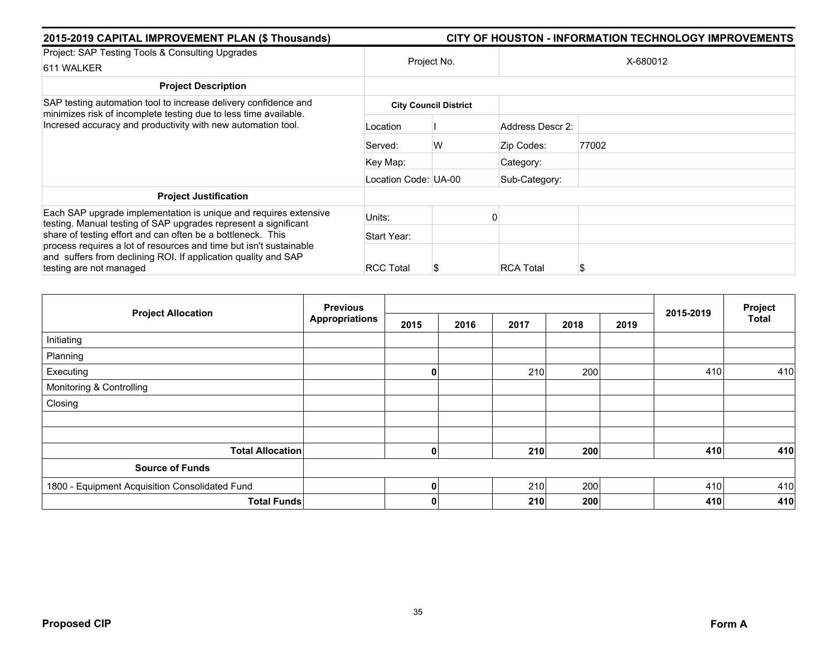| 2015-2019 CAPITAL IMPROVEMENT PLAN (\$ Thousands)                                                                                                               | CITY OF HOUSTON - INFORMATION TECHNOLOGY IMPROVEMENTS |                              |                  |       |  |  |  |  |
|-----------------------------------------------------------------------------------------------------------------------------------------------------------------|-------------------------------------------------------|------------------------------|------------------|-------|--|--|--|--|
| Project: SAP Testing Tools & Consulting Upgrades                                                                                                                | Project No.                                           |                              |                  |       |  |  |  |  |
| 611 WALKER                                                                                                                                                      |                                                       |                              | X-680012         |       |  |  |  |  |
| <b>Project Description</b>                                                                                                                                      |                                                       |                              |                  |       |  |  |  |  |
| SAP testing automation tool to increase delivery confidence and                                                                                                 |                                                       | <b>City Council District</b> |                  |       |  |  |  |  |
| minimizes risk of incomplete testing due to less time available.<br>Incresed accuracy and productivity with new automation tool.                                | Location                                              |                              | Address Descr 2: |       |  |  |  |  |
|                                                                                                                                                                 | Served:                                               | W                            | Zip Codes:       | 77002 |  |  |  |  |
|                                                                                                                                                                 | Key Map:                                              |                              | Category:        |       |  |  |  |  |
|                                                                                                                                                                 | Location Code: UA-00                                  |                              | Sub-Category:    |       |  |  |  |  |
| <b>Project Justification</b>                                                                                                                                    |                                                       |                              |                  |       |  |  |  |  |
| Each SAP upgrade implementation is unique and requires extensive<br>testing. Manual testing of SAP upgrades represent a significant                             | Units:                                                |                              |                  |       |  |  |  |  |
| share of testing effort and can often be a bottleneck. This                                                                                                     | Start Year:                                           |                              |                  |       |  |  |  |  |
| process requires a lot of resources and time but isn't sustainable<br>and suffers from declining ROI. If application quality and SAP<br>testing are not managed | <b>RCC Total</b>                                      | Ъ.                           | <b>RCA Total</b> |       |  |  |  |  |

|                                                | <b>Previous</b>       |      | 2015-2019 | Project |      |      |     |              |
|------------------------------------------------|-----------------------|------|-----------|---------|------|------|-----|--------------|
| <b>Project Allocation</b>                      | <b>Appropriations</b> | 2015 | 2016      | 2017    | 2018 | 2019 |     | <b>Total</b> |
| Initiating                                     |                       |      |           |         |      |      |     |              |
| Planning                                       |                       |      |           |         |      |      |     |              |
| Executing                                      |                       | 0    |           | 210     | 200  |      | 410 | 410          |
| Monitoring & Controlling                       |                       |      |           |         |      |      |     |              |
| Closing                                        |                       |      |           |         |      |      |     |              |
|                                                |                       |      |           |         |      |      |     |              |
|                                                |                       |      |           |         |      |      |     |              |
| <b>Total Allocation</b>                        |                       | 0    |           | 210     | 200  |      | 410 | 410          |
| <b>Source of Funds</b>                         |                       |      |           |         |      |      |     |              |
| 1800 - Equipment Acquisition Consolidated Fund |                       | 0    |           | 210     | 200  |      | 410 | 410          |
| <b>Total Funds</b>                             |                       | 0    |           | 210     | 200  |      | 410 | 410          |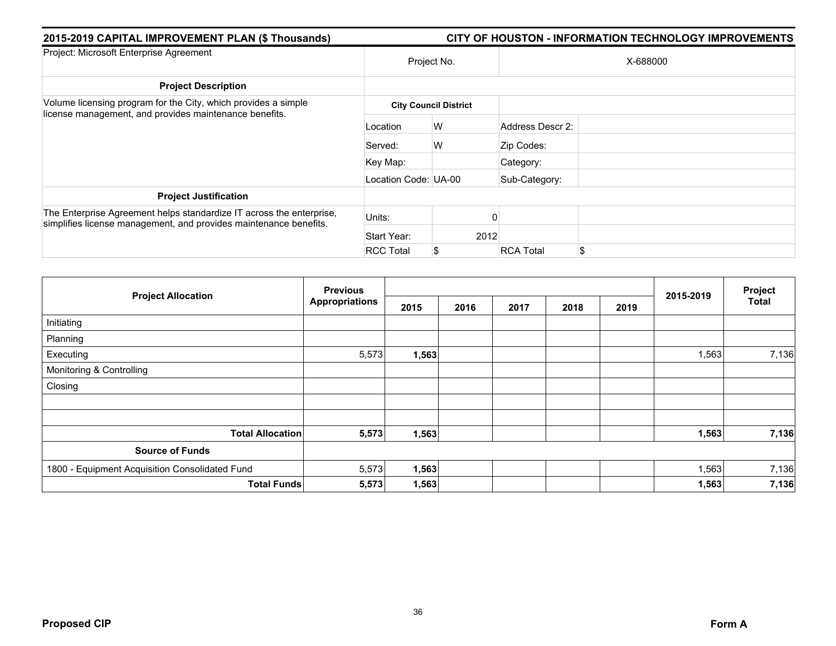| 2015-2019 CAPITAL IMPROVEMENT PLAN (\$ Thousands)<br>CITY OF HOUSTON - INFORMATION TECHNOLOGY IMPROVEMENTS                                |                      |                              |                  |    |  |  |  |  |
|-------------------------------------------------------------------------------------------------------------------------------------------|----------------------|------------------------------|------------------|----|--|--|--|--|
| Project: Microsoft Enterprise Agreement                                                                                                   | Project No.          |                              | X-688000         |    |  |  |  |  |
| <b>Project Description</b>                                                                                                                |                      |                              |                  |    |  |  |  |  |
| Volume licensing program for the City, which provides a simple<br>license management, and provides maintenance benefits.                  |                      | <b>City Council District</b> |                  |    |  |  |  |  |
|                                                                                                                                           | Location             | W                            | Address Descr 2: |    |  |  |  |  |
|                                                                                                                                           | Served:              | W                            | Zip Codes:       |    |  |  |  |  |
|                                                                                                                                           | Key Map:             |                              | Category:        |    |  |  |  |  |
|                                                                                                                                           | Location Code: UA-00 |                              | Sub-Category:    |    |  |  |  |  |
| <b>Project Justification</b>                                                                                                              |                      |                              |                  |    |  |  |  |  |
| The Enterprise Agreement helps standardize IT across the enterprise,<br>simplifies license management, and provides maintenance benefits. | Units:               |                              |                  |    |  |  |  |  |
|                                                                                                                                           | Start Year:          | 2012                         |                  |    |  |  |  |  |
|                                                                                                                                           | <b>RCC Total</b>     | \$                           | <b>RCA Total</b> | \$ |  |  |  |  |

| <b>Project Allocation</b>                      | <b>Previous</b>       |       |      |      |      |      |           | Project      |
|------------------------------------------------|-----------------------|-------|------|------|------|------|-----------|--------------|
|                                                | <b>Appropriations</b> | 2015  | 2016 | 2017 | 2018 | 2019 | 2015-2019 | <b>Total</b> |
| Initiating                                     |                       |       |      |      |      |      |           |              |
| Planning                                       |                       |       |      |      |      |      |           |              |
| Executing                                      | 5,573                 | 1,563 |      |      |      |      | 1,563     | 7,136        |
| Monitoring & Controlling                       |                       |       |      |      |      |      |           |              |
| Closing                                        |                       |       |      |      |      |      |           |              |
|                                                |                       |       |      |      |      |      |           |              |
| <b>Total Allocation</b>                        | 5,573                 | 1,563 |      |      |      |      | 1,563     | 7,136        |
| <b>Source of Funds</b>                         |                       |       |      |      |      |      |           |              |
| 1800 - Equipment Acquisition Consolidated Fund | 5,573                 | 1,563 |      |      |      |      | 1,563     | 7,136        |
| <b>Total Funds</b>                             | 5,573                 | 1,563 |      |      |      |      | 1,563     | 7,136        |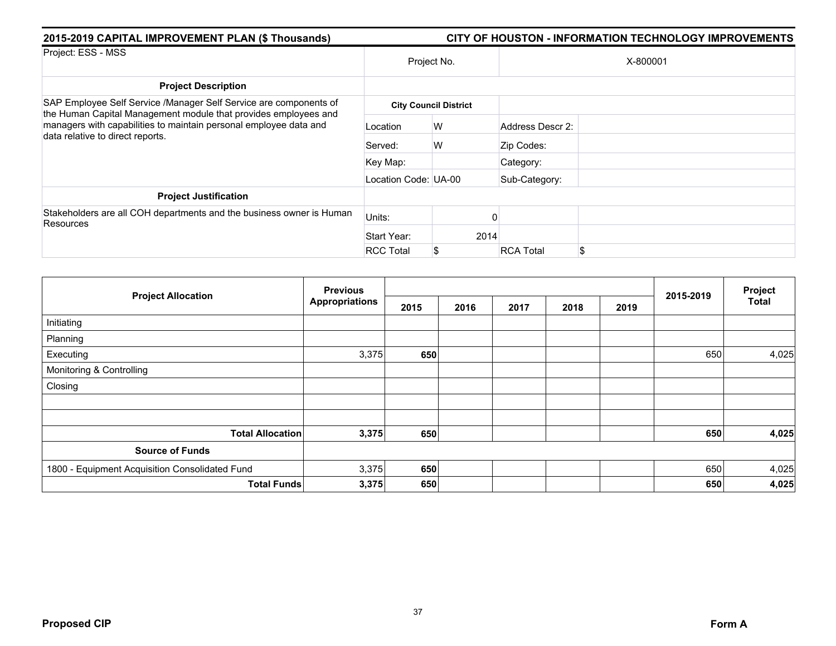| 2015-2019 CAPITAL IMPROVEMENT PLAN (\$ Thousands)                                                                                                                        | <b>CITY OF HOUSTON - INFORMATION TECHNOLOGY IMPROVEMENTS</b> |                              |      |                       |  |  |  |  |
|--------------------------------------------------------------------------------------------------------------------------------------------------------------------------|--------------------------------------------------------------|------------------------------|------|-----------------------|--|--|--|--|
| Project: ESS - MSS                                                                                                                                                       | Project No.                                                  |                              |      | X-800001              |  |  |  |  |
| <b>Project Description</b>                                                                                                                                               |                                                              |                              |      |                       |  |  |  |  |
| SAP Employee Self Service /Manager Self Service are components of                                                                                                        |                                                              | <b>City Council District</b> |      |                       |  |  |  |  |
| the Human Capital Management module that provides employees and<br>managers with capabilities to maintain personal employee data and<br>data relative to direct reports. | Location                                                     | W                            |      | Address Descr 2:      |  |  |  |  |
|                                                                                                                                                                          | Served:                                                      | W                            |      | Zip Codes:            |  |  |  |  |
|                                                                                                                                                                          | Key Map:                                                     |                              |      | Category:             |  |  |  |  |
|                                                                                                                                                                          | Location Code: UA-00                                         |                              |      | Sub-Category:         |  |  |  |  |
| <b>Project Justification</b>                                                                                                                                             |                                                              |                              |      |                       |  |  |  |  |
| Stakeholders are all COH departments and the business owner is Human<br>Resources                                                                                        | Units:                                                       |                              |      |                       |  |  |  |  |
|                                                                                                                                                                          | Start Year:                                                  |                              | 2014 |                       |  |  |  |  |
|                                                                                                                                                                          | <b>RCC Total</b>                                             | \$                           |      | <b>RCA Total</b><br>S |  |  |  |  |

| <b>Project Allocation</b>                      | <b>Previous</b>       |      |      |      |      |      |           | Project      |
|------------------------------------------------|-----------------------|------|------|------|------|------|-----------|--------------|
|                                                | <b>Appropriations</b> | 2015 | 2016 | 2017 | 2018 | 2019 | 2015-2019 | <b>Total</b> |
| Initiating                                     |                       |      |      |      |      |      |           |              |
| Planning                                       |                       |      |      |      |      |      |           |              |
| Executing                                      | 3,375                 | 650  |      |      |      |      | 650       | 4,025        |
| Monitoring & Controlling                       |                       |      |      |      |      |      |           |              |
| Closing                                        |                       |      |      |      |      |      |           |              |
|                                                |                       |      |      |      |      |      |           |              |
|                                                |                       |      |      |      |      |      |           |              |
| <b>Total Allocation</b>                        | 3,375                 | 650  |      |      |      |      | 650       | 4,025        |
| <b>Source of Funds</b>                         |                       |      |      |      |      |      |           |              |
| 1800 - Equipment Acquisition Consolidated Fund | 3,375                 | 650  |      |      |      |      | 650       | 4,025        |
| <b>Total Funds</b>                             | 3,375                 | 650  |      |      |      |      | 650       | 4,025        |